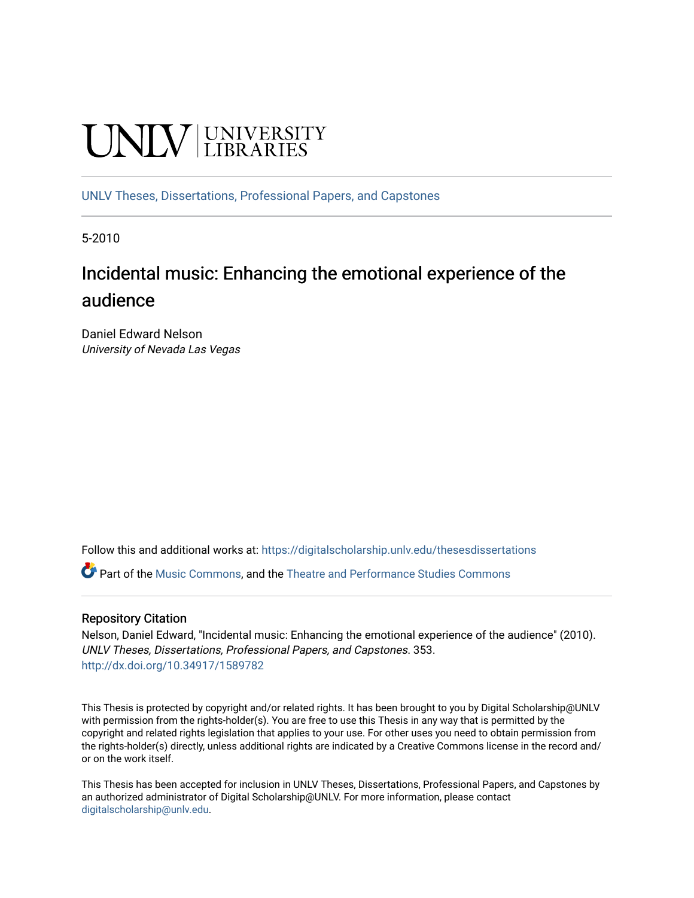# **UNIVERSITY**

[UNLV Theses, Dissertations, Professional Papers, and Capstones](https://digitalscholarship.unlv.edu/thesesdissertations)

5-2010

## Incidental music: Enhancing the emotional experience of the audience

Daniel Edward Nelson University of Nevada Las Vegas

Follow this and additional works at: [https://digitalscholarship.unlv.edu/thesesdissertations](https://digitalscholarship.unlv.edu/thesesdissertations?utm_source=digitalscholarship.unlv.edu%2Fthesesdissertations%2F353&utm_medium=PDF&utm_campaign=PDFCoverPages)

Part of the [Music Commons,](http://network.bepress.com/hgg/discipline/518?utm_source=digitalscholarship.unlv.edu%2Fthesesdissertations%2F353&utm_medium=PDF&utm_campaign=PDFCoverPages) and the [Theatre and Performance Studies Commons](http://network.bepress.com/hgg/discipline/552?utm_source=digitalscholarship.unlv.edu%2Fthesesdissertations%2F353&utm_medium=PDF&utm_campaign=PDFCoverPages) 

#### Repository Citation

Nelson, Daniel Edward, "Incidental music: Enhancing the emotional experience of the audience" (2010). UNLV Theses, Dissertations, Professional Papers, and Capstones. 353. <http://dx.doi.org/10.34917/1589782>

This Thesis is protected by copyright and/or related rights. It has been brought to you by Digital Scholarship@UNLV with permission from the rights-holder(s). You are free to use this Thesis in any way that is permitted by the copyright and related rights legislation that applies to your use. For other uses you need to obtain permission from the rights-holder(s) directly, unless additional rights are indicated by a Creative Commons license in the record and/ or on the work itself.

This Thesis has been accepted for inclusion in UNLV Theses, Dissertations, Professional Papers, and Capstones by an authorized administrator of Digital Scholarship@UNLV. For more information, please contact [digitalscholarship@unlv.edu](mailto:digitalscholarship@unlv.edu).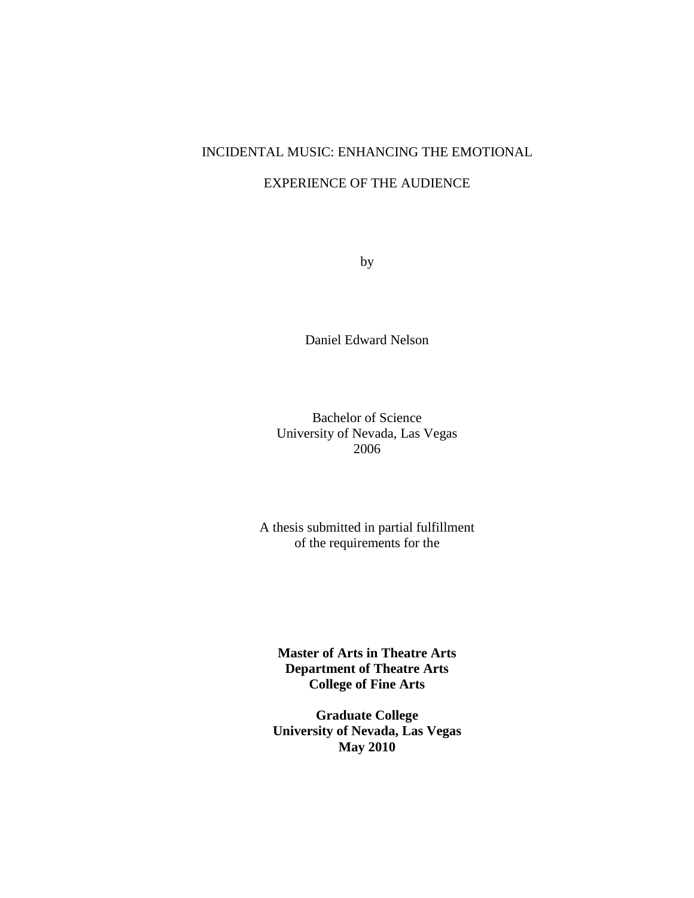## INCIDENTAL MUSIC: ENHANCING THE EMOTIONAL

#### EXPERIENCE OF THE AUDIENCE

by

Daniel Edward Nelson

Bachelor of Science University of Nevada, Las Vegas 2006

A thesis submitted in partial fulfillment of the requirements for the

**Master of Arts in Theatre Arts Department of Theatre Arts College of Fine Arts**

**Graduate College University of Nevada, Las Vegas May 2010**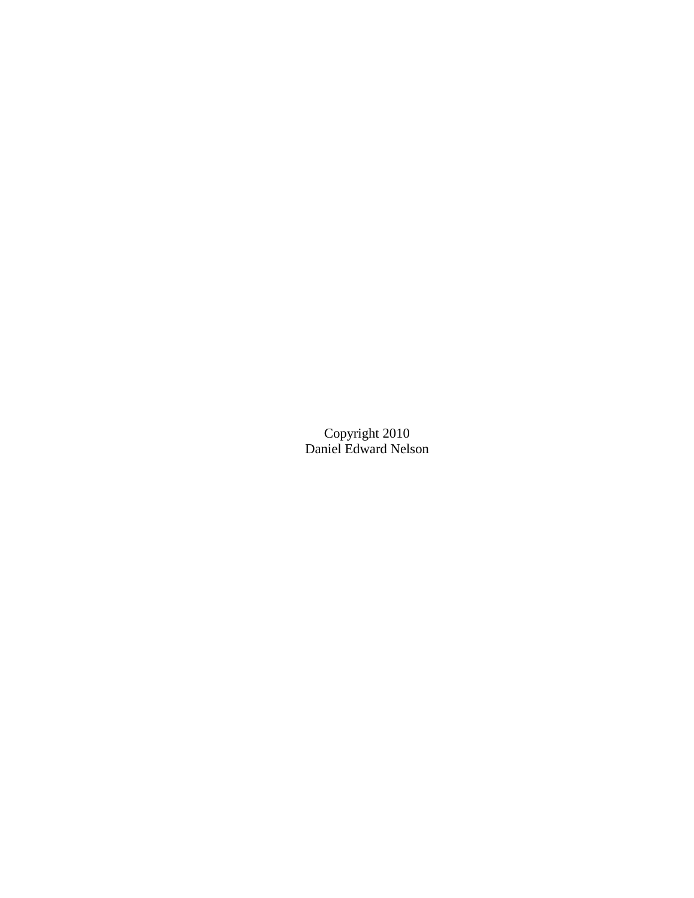Copyright 2010 Daniel Edward Nelson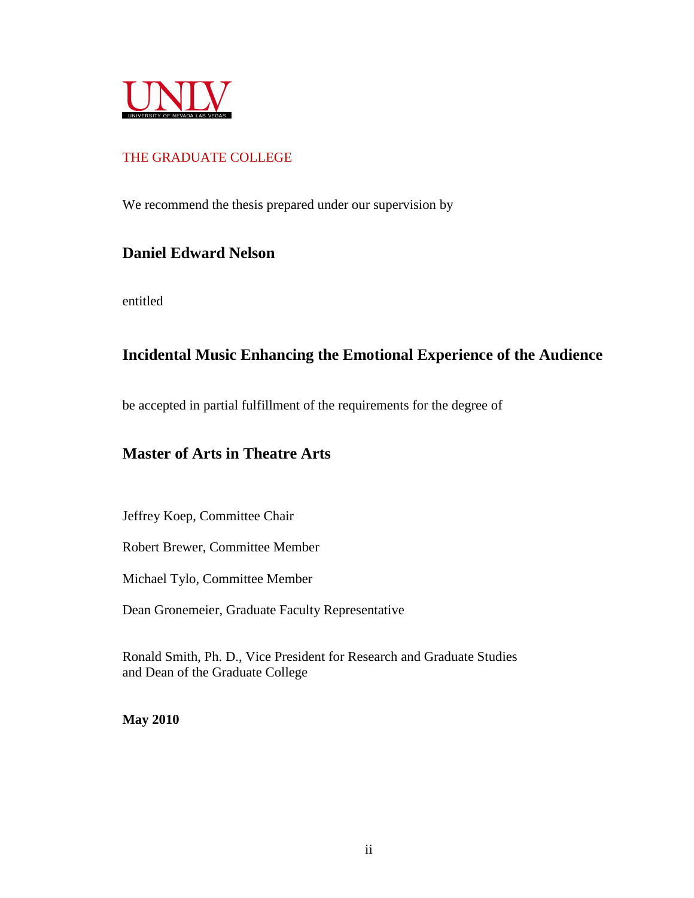

### THE GRADUATE COLLEGE

We recommend the thesis prepared under our supervision by

## **Daniel Edward Nelson**

entitled

## **Incidental Music Enhancing the Emotional Experience of the Audience**

be accepted in partial fulfillment of the requirements for the degree of

## **Master of Arts in Theatre Arts**

Jeffrey Koep, Committee Chair

Robert Brewer, Committee Member

Michael Tylo, Committee Member

Dean Gronemeier, Graduate Faculty Representative

Ronald Smith, Ph. D., Vice President for Research and Graduate Studies and Dean of the Graduate College

**May 2010**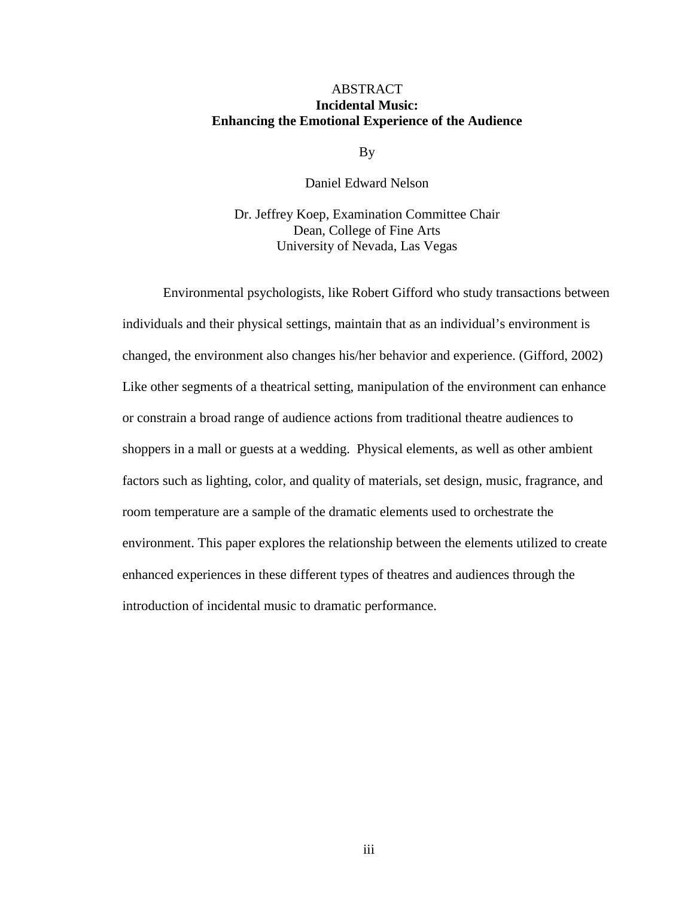#### ABSTRACT **Incidental Music: Enhancing the Emotional Experience of the Audience**

By

Daniel Edward Nelson

Dr. Jeffrey Koep, Examination Committee Chair Dean, College of Fine Arts University of Nevada, Las Vegas

 Environmental psychologists, like Robert Gifford who study transactions between individuals and their physical settings, maintain that as an individual's environment is changed, the environment also changes his/her behavior and experience. (Gifford, 2002) Like other segments of a theatrical setting, manipulation of the environment can enhance or constrain a broad range of audience actions from traditional theatre audiences to shoppers in a mall or guests at a wedding. Physical elements, as well as other ambient factors such as lighting, color, and quality of materials, set design, music, fragrance, and room temperature are a sample of the dramatic elements used to orchestrate the environment. This paper explores the relationship between the elements utilized to create enhanced experiences in these different types of theatres and audiences through the introduction of incidental music to dramatic performance.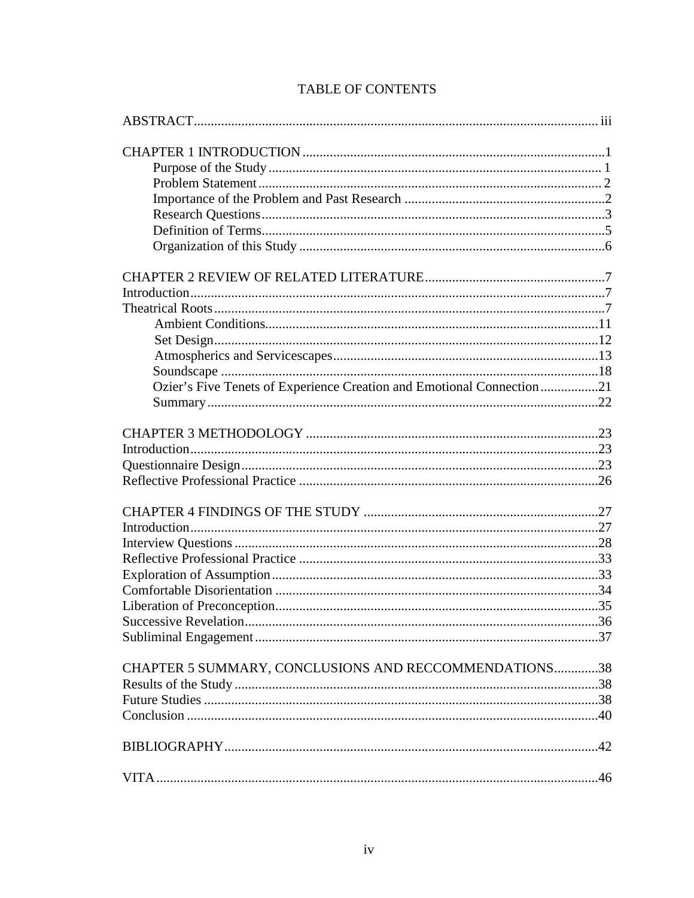| Ozier's Five Tenets of Experience Creation and Emotional Connection21 |  |
|-----------------------------------------------------------------------|--|
|                                                                       |  |
|                                                                       |  |
|                                                                       |  |
|                                                                       |  |
|                                                                       |  |
|                                                                       |  |
|                                                                       |  |
|                                                                       |  |
|                                                                       |  |
|                                                                       |  |
|                                                                       |  |
|                                                                       |  |
|                                                                       |  |
|                                                                       |  |
| CHAPTER 5 SUMMARY, CONCLUSIONS AND RECCOMMENDATIONS38                 |  |
|                                                                       |  |
|                                                                       |  |
|                                                                       |  |
|                                                                       |  |
|                                                                       |  |

## **TABLE OF CONTENTS**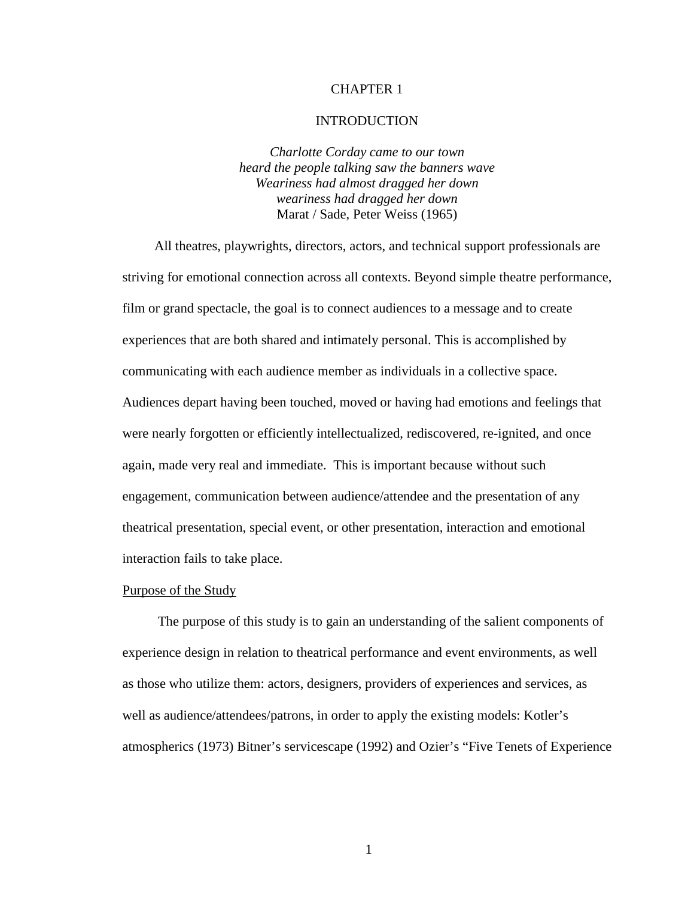#### CHAPTER 1

#### INTRODUCTION

*Charlotte Corday came to our town heard the people talking saw the banners wave Weariness had almost dragged her down weariness had dragged her down*  Marat / Sade, Peter Weiss (1965)

 All theatres, playwrights, directors, actors, and technical support professionals are striving for emotional connection across all contexts. Beyond simple theatre performance, film or grand spectacle, the goal is to connect audiences to a message and to create experiences that are both shared and intimately personal. This is accomplished by communicating with each audience member as individuals in a collective space. Audiences depart having been touched, moved or having had emotions and feelings that were nearly forgotten or efficiently intellectualized, rediscovered, re-ignited, and once again, made very real and immediate. This is important because without such engagement, communication between audience/attendee and the presentation of any theatrical presentation, special event, or other presentation, interaction and emotional interaction fails to take place.

#### Purpose of the Study

 The purpose of this study is to gain an understanding of the salient components of experience design in relation to theatrical performance and event environments, as well as those who utilize them: actors, designers, providers of experiences and services, as well as audience/attendees/patrons, in order to apply the existing models: Kotler's atmospherics (1973) Bitner's servicescape (1992) and Ozier's "Five Tenets of Experience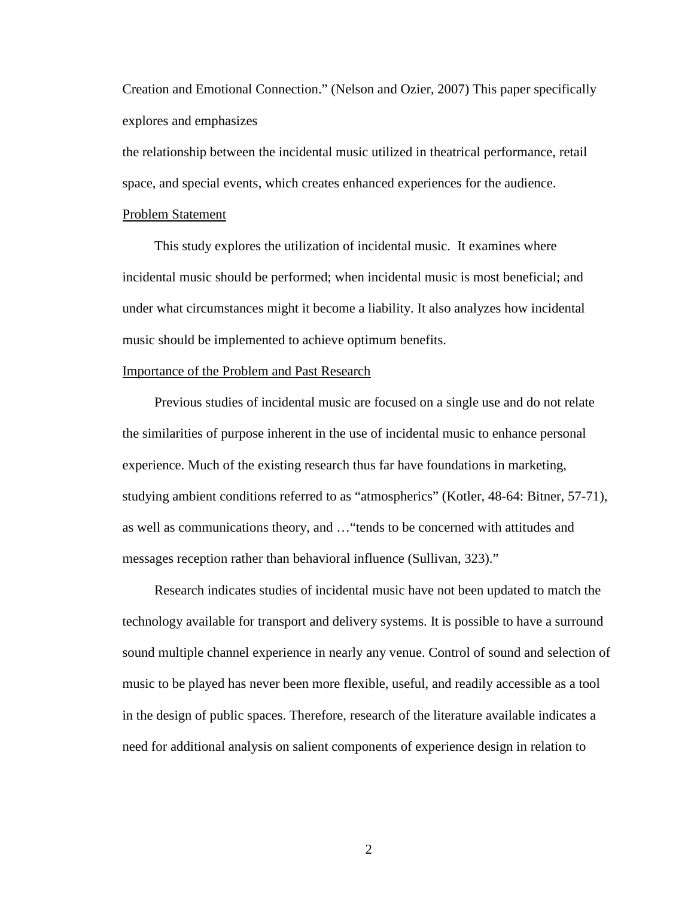Creation and Emotional Connection." (Nelson and Ozier, 2007) This paper specifically explores and emphasizes

the relationship between the incidental music utilized in theatrical performance, retail space, and special events, which creates enhanced experiences for the audience.

#### Problem Statement

 This study explores the utilization of incidental music. It examines where incidental music should be performed; when incidental music is most beneficial; and under what circumstances might it become a liability. It also analyzes how incidental music should be implemented to achieve optimum benefits.

#### Importance of the Problem and Past Research

 Previous studies of incidental music are focused on a single use and do not relate the similarities of purpose inherent in the use of incidental music to enhance personal experience. Much of the existing research thus far have foundations in marketing, studying ambient conditions referred to as "atmospherics" (Kotler, 48-64: Bitner, 57-71), as well as communications theory, and …"tends to be concerned with attitudes and messages reception rather than behavioral influence (Sullivan, 323)."

 Research indicates studies of incidental music have not been updated to match the technology available for transport and delivery systems. It is possible to have a surround sound multiple channel experience in nearly any venue. Control of sound and selection of music to be played has never been more flexible, useful, and readily accessible as a tool in the design of public spaces. Therefore, research of the literature available indicates a need for additional analysis on salient components of experience design in relation to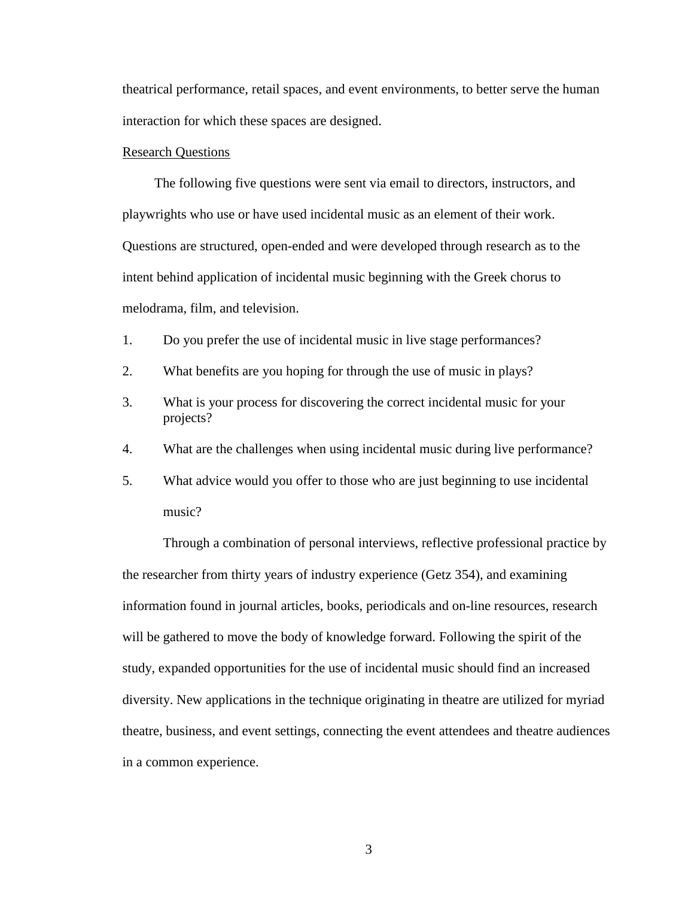theatrical performance, retail spaces, and event environments, to better serve the human interaction for which these spaces are designed.

#### Research Questions

 The following five questions were sent via email to directors, instructors, and playwrights who use or have used incidental music as an element of their work. Questions are structured, open-ended and were developed through research as to the intent behind application of incidental music beginning with the Greek chorus to melodrama, film, and television.

- 1. Do you prefer the use of incidental music in live stage performances?
- 2. What benefits are you hoping for through the use of music in plays?
- 3. What is your process for discovering the correct incidental music for your projects?
- 4. What are the challenges when using incidental music during live performance?
- 5. What advice would you offer to those who are just beginning to use incidental music?

 Through a combination of personal interviews, reflective professional practice by the researcher from thirty years of industry experience (Getz 354), and examining information found in journal articles, books, periodicals and on-line resources, research will be gathered to move the body of knowledge forward. Following the spirit of the study, expanded opportunities for the use of incidental music should find an increased diversity. New applications in the technique originating in theatre are utilized for myriad theatre, business, and event settings, connecting the event attendees and theatre audiences in a common experience.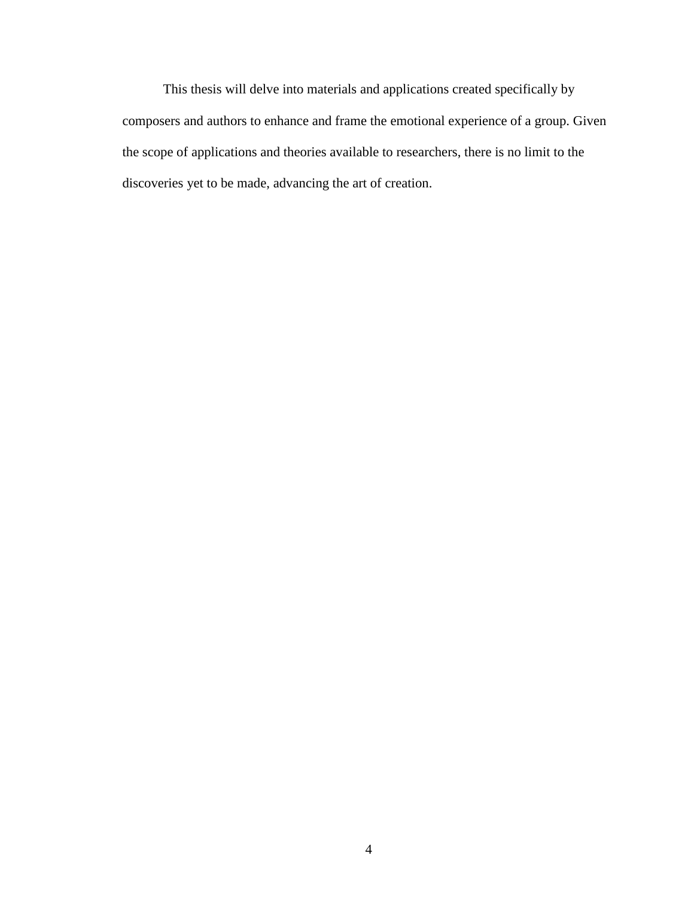This thesis will delve into materials and applications created specifically by composers and authors to enhance and frame the emotional experience of a group. Given the scope of applications and theories available to researchers, there is no limit to the discoveries yet to be made, advancing the art of creation.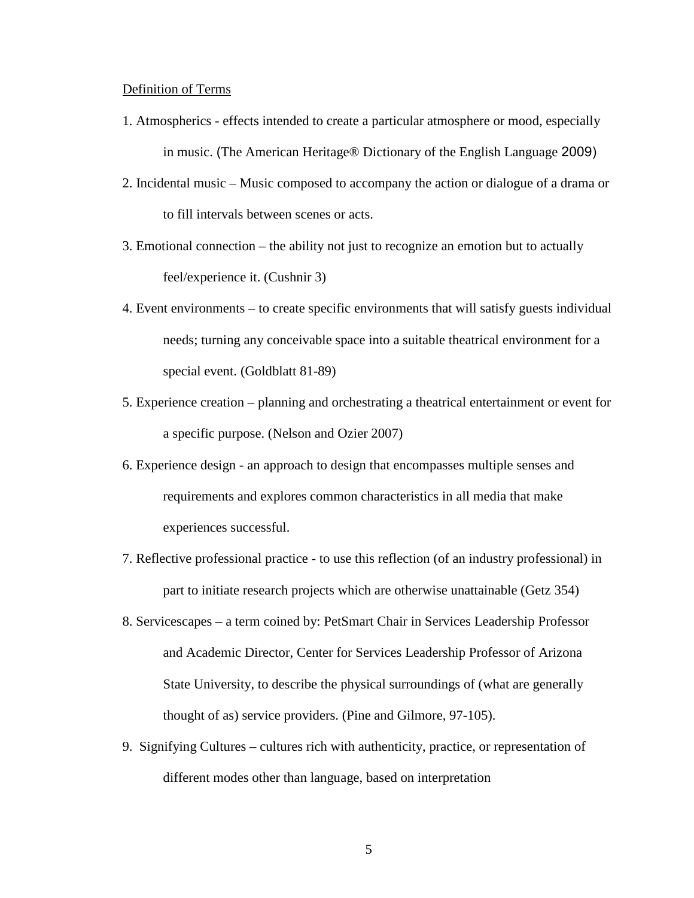#### Definition of Terms

- 1. Atmospherics effects intended to create a particular atmosphere or mood, especially in music. (The American Heritage® Dictionary of the English Language 2009)
- 2. Incidental music Music composed to accompany the action or dialogue of a drama or to fill intervals between scenes or acts.
- 3. Emotional connection the ability not just to recognize an emotion but to actually feel/experience it. (Cushnir 3)
- 4. Event environments to create specific environments that will satisfy guests individual needs; turning any conceivable space into a suitable theatrical environment for a special event. (Goldblatt 81-89)
- 5. Experience creation planning and orchestrating a theatrical entertainment or event for a specific purpose. (Nelson and Ozier 2007)
- 6. Experience design an approach to design that encompasses multiple senses and requirements and explores common characteristics in all media that make experiences successful.
- 7. Reflective professional practice to use this reflection (of an industry professional) in part to initiate research projects which are otherwise unattainable (Getz 354)
- 8. Servicescapes a term coined by: PetSmart Chair in Services Leadership Professor and Academic Director, Center for Services Leadership Professor of Arizona State University, to describe the physical surroundings of (what are generally thought of as) service providers. (Pine and Gilmore, 97-105).
- 9. Signifying Cultures cultures rich with authenticity, practice, or representation of different modes other than language, based on interpretation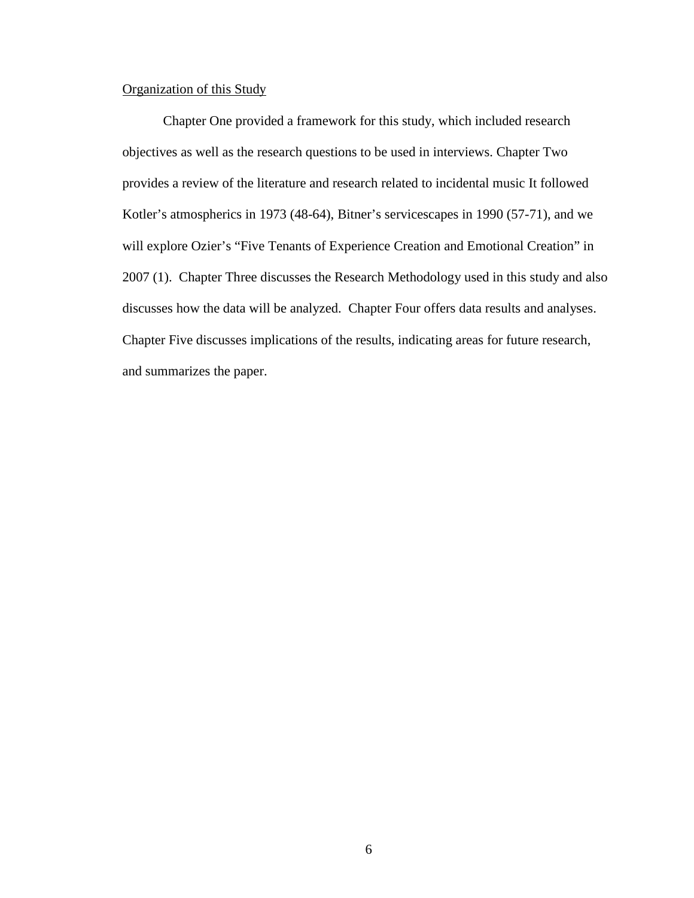#### Organization of this Study

Chapter One provided a framework for this study, which included research objectives as well as the research questions to be used in interviews. Chapter Two provides a review of the literature and research related to incidental music It followed Kotler's atmospherics in 1973 (48-64), Bitner's servicescapes in 1990 (57-71), and we will explore Ozier's "Five Tenants of Experience Creation and Emotional Creation" in 2007 (1). Chapter Three discusses the Research Methodology used in this study and also discusses how the data will be analyzed. Chapter Four offers data results and analyses. Chapter Five discusses implications of the results, indicating areas for future research, and summarizes the paper.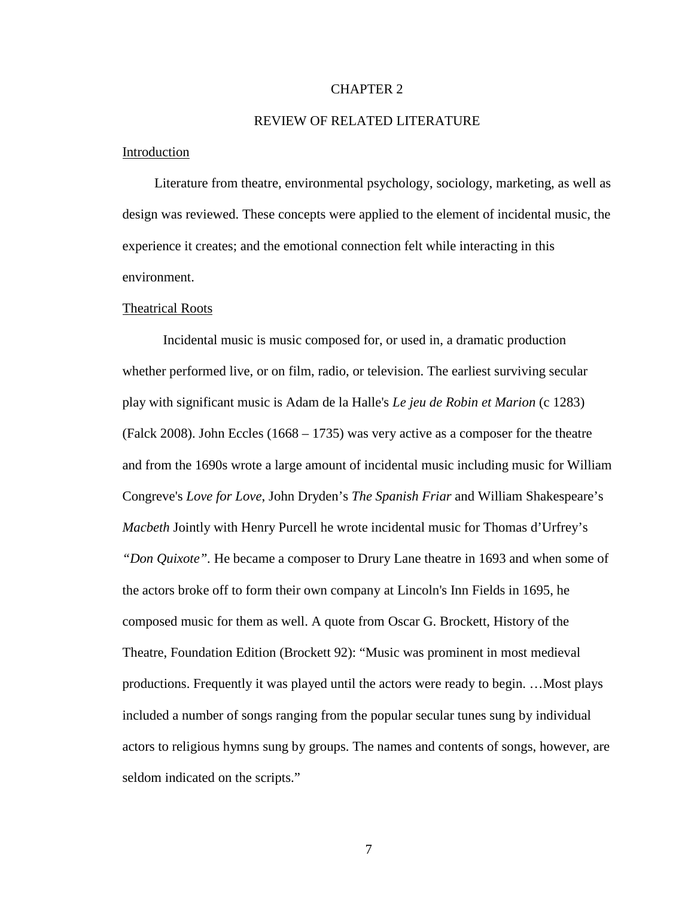#### CHAPTER 2

#### REVIEW OF RELATED LITERATURE

#### Introduction

 Literature from theatre, environmental psychology, sociology, marketing, as well as design was reviewed. These concepts were applied to the element of incidental music, the experience it creates; and the emotional connection felt while interacting in this environment.

#### Theatrical Roots

 Incidental music is music composed for, or used in, a dramatic production whether performed live, or on film, radio, or television. The earliest surviving secular play with significant music is Adam de la Halle's *Le jeu de Robin et Marion* (c 1283) (Falck 2008). John Eccles (1668 – 1735) was very active as a composer for the theatre and from the 1690s wrote a large amount of incidental music including music for William Congreve's *Love for Love*, John Dryden's *The Spanish Friar* and William Shakespeare's *Macbeth* Jointly with Henry Purcell he wrote incidental music for Thomas d'Urfrey's *"Don Quixote".* He became a composer to Drury Lane theatre in 1693 and when some of the actors broke off to form their own company at Lincoln's Inn Fields in 1695, he composed music for them as well. A quote from Oscar G. Brockett, History of the Theatre, Foundation Edition (Brockett 92): "Music was prominent in most medieval productions. Frequently it was played until the actors were ready to begin. …Most plays included a number of songs ranging from the popular secular tunes sung by individual actors to religious hymns sung by groups. The names and contents of songs, however, are seldom indicated on the scripts."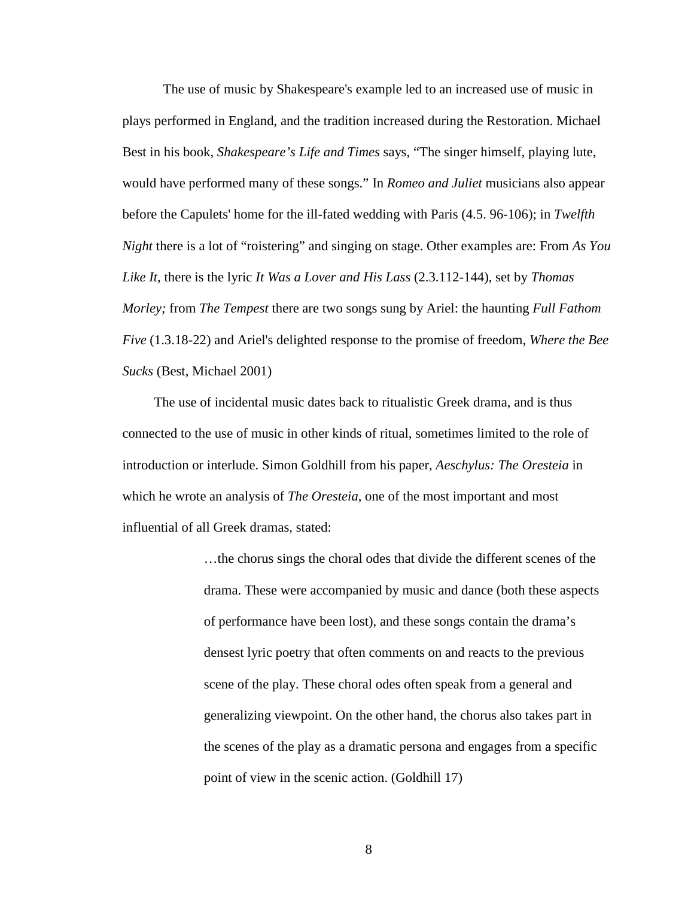The use of music by Shakespeare's example led to an increased use of music in plays performed in England, and the tradition increased during the Restoration. Michael Best in his book, *Shakespeare's Life and Times* says, "The singer himself, playing lute, would have performed many of these songs." In *Romeo and Juliet* musicians also appear before the Capulets' home for the ill-fated wedding with Paris (4.5. 96-106); in *Twelfth Night* there is a lot of "roistering" and singing on stage. Other examples are: From *As You Like It,* there is the lyric *It Was a Lover and His Lass* (2.3.112-144), set by *Thomas Morley;* from *The Tempest* there are two songs sung by Ariel: the haunting *Full Fathom Five* (1.3.18-22) and Ariel's delighted response to the promise of freedom, *Where the Bee Sucks* (Best, Michael 2001)

 The use of incidental music dates back to ritualistic Greek drama, and is thus connected to the use of music in other kinds of ritual, sometimes limited to the role of introduction or interlude. Simon Goldhill from his paper, *Aeschylus: The Oresteia* in which he wrote an analysis of *The Oresteia,* one of the most important and most influential of all Greek dramas, stated:

> …the chorus sings the choral odes that divide the different scenes of the drama. These were accompanied by music and dance (both these aspects of performance have been lost), and these songs contain the drama's densest lyric poetry that often comments on and reacts to the previous scene of the play. These choral odes often speak from a general and generalizing viewpoint. On the other hand, the chorus also takes part in the scenes of the play as a dramatic persona and engages from a specific point of view in the scenic action. (Goldhill 17)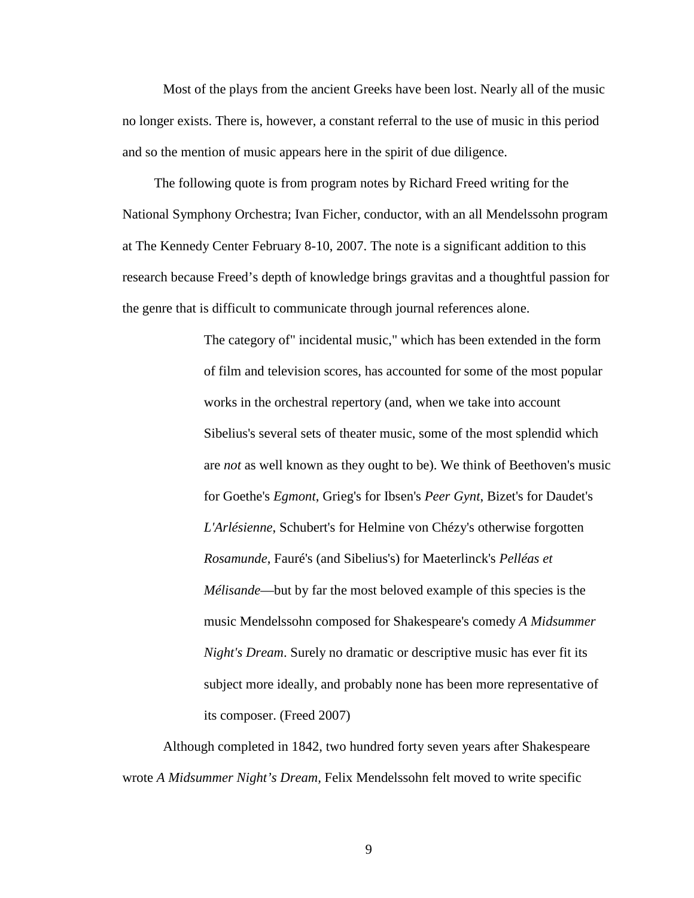Most of the plays from the ancient Greeks have been lost. Nearly all of the music no longer exists. There is, however, a constant referral to the use of music in this period and so the mention of music appears here in the spirit of due diligence.

 The following quote is from program notes by Richard Freed writing for the National Symphony Orchestra; Ivan Ficher, conductor, with an all Mendelssohn program at The Kennedy Center February 8-10, 2007. The note is a significant addition to this research because Freed's depth of knowledge brings gravitas and a thoughtful passion for the genre that is difficult to communicate through journal references alone.

> The category of" incidental music," which has been extended in the form of film and television scores, has accounted for some of the most popular works in the orchestral repertory (and, when we take into account Sibelius's several sets of theater music, some of the most splendid which are *not* as well known as they ought to be). We think of Beethoven's music for Goethe's *Egmont*, Grieg's for Ibsen's *Peer Gynt*, Bizet's for Daudet's *L'Arlésienne*, Schubert's for Helmine von Chézy's otherwise forgotten *Rosamunde*, Fauré's (and Sibelius's) for Maeterlinck's *Pelléas et Mélisande*—but by far the most beloved example of this species is the music Mendelssohn composed for Shakespeare's comedy *A Midsummer Night's Dream*. Surely no dramatic or descriptive music has ever fit its subject more ideally, and probably none has been more representative of its composer. (Freed 2007)

Although completed in 1842, two hundred forty seven years after Shakespeare wrote *A Midsummer Night's Dream,* Felix Mendelssohn felt moved to write specific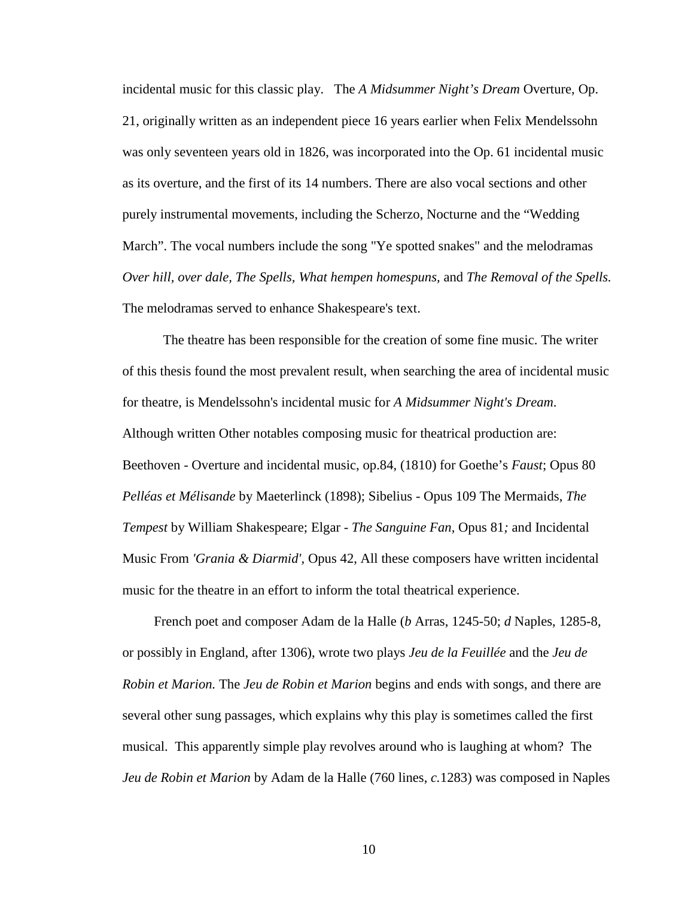incidental music for this classic play. The *A Midsummer Night's Dream* Overture, Op. 21, originally written as an independent piece 16 years earlier when Felix Mendelssohn was only seventeen years old in 1826, was incorporated into the Op. 61 incidental music as its overture, and the first of its 14 numbers. There are also vocal sections and other purely instrumental movements, including the Scherzo, Nocturne and the "Wedding March". The vocal numbers include the song "Ye spotted snakes" and the melodramas *Over hill, over dale, The Spells, What hempen homespuns,* and *The Removal of the Spells.* The melodramas served to enhance Shakespeare's text.

The theatre has been responsible for the creation of some fine music. The writer of this thesis found the most prevalent result, when searching the area of incidental music for theatre, is Mendelssohn's incidental music for *A Midsummer Night's Dream*. Although written Other notables composing music for theatrical production are: Beethoven - Overture and incidental music, op.84, (1810) for Goethe's *Faust*; Opus 80 *Pelléas et Mélisande* by Maeterlinck (1898); Sibelius - Opus 109 The Mermaids, *The Tempest* by William Shakespeare; Elgar - *The Sanguine Fan,* Opus 81*;* and Incidental Music From *'Grania & Diarmid',* Opus 42, All these composers have written incidental music for the theatre in an effort to inform the total theatrical experience.

 French poet and composer Adam de la Halle (*b* Arras, 1245-50; *d* Naples, 1285-8, or possibly in England, after 1306), wrote two plays *Jeu de la Feuillée* and the *Jeu de Robin et Marion.* The *Jeu de Robin et Marion* begins and ends with songs, and there are several other sung passages, which explains why this play is sometimes called the first musical. This apparently simple play revolves around who is laughing at whom? The *Jeu de Robin et Marion* by Adam de la Halle (760 lines, *c.*1283) was composed in Naples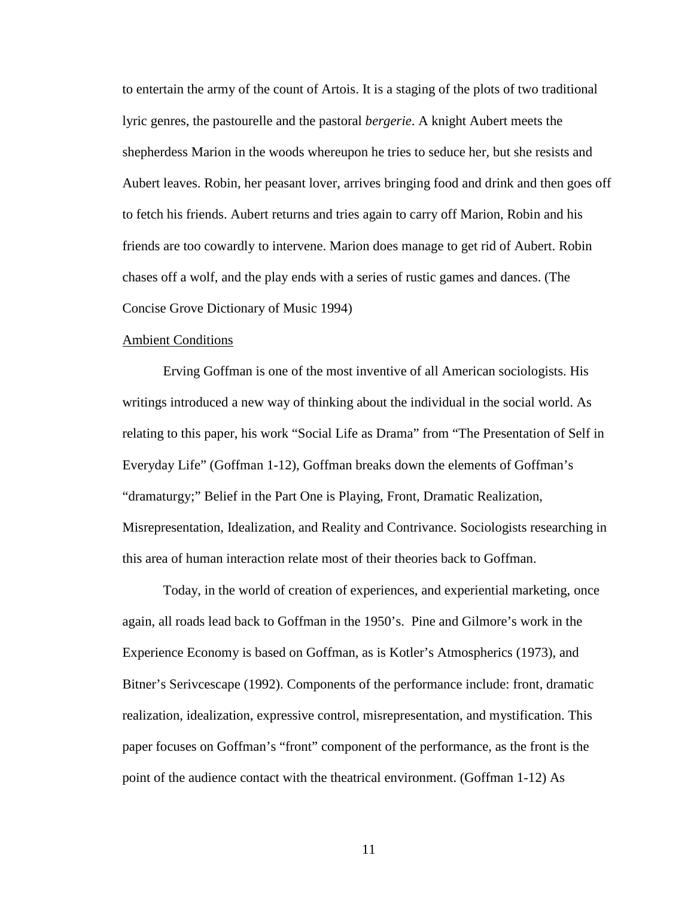to entertain the army of the count of Artois. It is a staging of the plots of two traditional lyric genres, the pastourelle and the pastoral *bergerie*. A knight Aubert meets the shepherdess Marion in the woods whereupon he tries to seduce her, but she resists and Aubert leaves. Robin, her peasant lover, arrives bringing food and drink and then goes off to fetch his friends. Aubert returns and tries again to carry off Marion, Robin and his friends are too cowardly to intervene. Marion does manage to get rid of Aubert. Robin chases off a wolf, and the play ends with a series of rustic games and dances. (The Concise Grove Dictionary of Music 1994)

#### Ambient Conditions

Erving Goffman is one of the most inventive of all American sociologists. His writings introduced a new way of thinking about the individual in the social world. As relating to this paper, his work "Social Life as Drama" from "The Presentation of Self in Everyday Life" (Goffman 1-12), Goffman breaks down the elements of Goffman's "dramaturgy;" Belief in the Part One is Playing, Front, Dramatic Realization, Misrepresentation, Idealization, and Reality and Contrivance. Sociologists researching in this area of human interaction relate most of their theories back to Goffman.

Today, in the world of creation of experiences, and experiential marketing, once again, all roads lead back to Goffman in the 1950's. Pine and Gilmore's work in the Experience Economy is based on Goffman, as is Kotler's Atmospherics (1973), and Bitner's Serivcescape (1992). Components of the performance include: front, dramatic realization, idealization, expressive control, misrepresentation, and mystification. This paper focuses on Goffman's "front" component of the performance, as the front is the point of the audience contact with the theatrical environment. (Goffman 1-12) As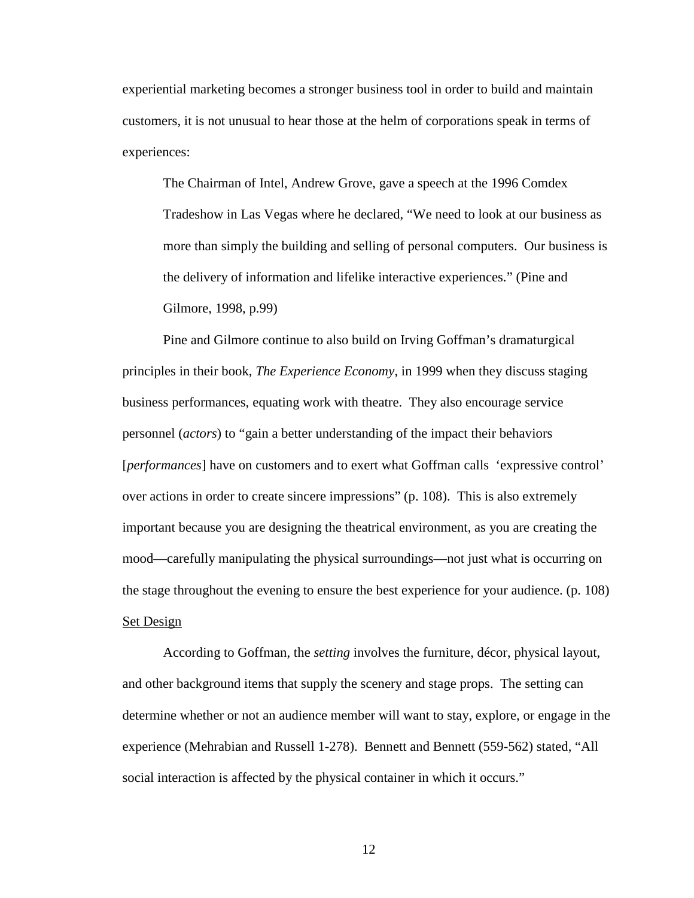experiential marketing becomes a stronger business tool in order to build and maintain customers, it is not unusual to hear those at the helm of corporations speak in terms of experiences:

The Chairman of Intel, Andrew Grove, gave a speech at the 1996 Comdex Tradeshow in Las Vegas where he declared, "We need to look at our business as more than simply the building and selling of personal computers. Our business is the delivery of information and lifelike interactive experiences." (Pine and Gilmore, 1998, p.99)

Pine and Gilmore continue to also build on Irving Goffman's dramaturgical principles in their book, *The Experience Economy*, in 1999 when they discuss staging business performances, equating work with theatre. They also encourage service personnel (*actors*) to "gain a better understanding of the impact their behaviors [*performances*] have on customers and to exert what Goffman calls 'expressive control' over actions in order to create sincere impressions" (p. 108). This is also extremely important because you are designing the theatrical environment, as you are creating the mood—carefully manipulating the physical surroundings—not just what is occurring on the stage throughout the evening to ensure the best experience for your audience. (p. 108) Set Design

According to Goffman, the *setting* involves the furniture, décor, physical layout, and other background items that supply the scenery and stage props. The setting can determine whether or not an audience member will want to stay, explore, or engage in the experience (Mehrabian and Russell 1-278). Bennett and Bennett (559-562) stated, "All social interaction is affected by the physical container in which it occurs."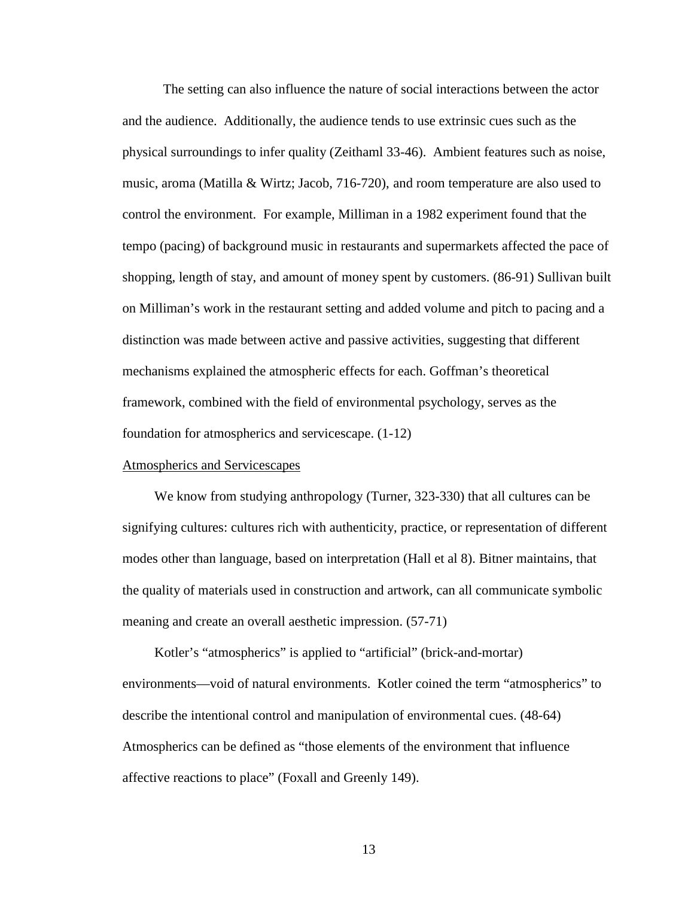The setting can also influence the nature of social interactions between the actor and the audience. Additionally, the audience tends to use extrinsic cues such as the physical surroundings to infer quality (Zeithaml 33-46). Ambient features such as noise, music, aroma (Matilla & Wirtz; Jacob, 716-720), and room temperature are also used to control the environment. For example, Milliman in a 1982 experiment found that the tempo (pacing) of background music in restaurants and supermarkets affected the pace of shopping, length of stay, and amount of money spent by customers. (86-91) Sullivan built on Milliman's work in the restaurant setting and added volume and pitch to pacing and a distinction was made between active and passive activities, suggesting that different mechanisms explained the atmospheric effects for each. Goffman's theoretical framework, combined with the field of environmental psychology, serves as the foundation for atmospherics and servicescape. (1-12)

#### Atmospherics and Servicescapes

We know from studying anthropology (Turner, 323-330) that all cultures can be signifying cultures: cultures rich with authenticity, practice, or representation of different modes other than language, based on interpretation (Hall et al 8). Bitner maintains, that the quality of materials used in construction and artwork, can all communicate symbolic meaning and create an overall aesthetic impression. (57-71)

 Kotler's "atmospherics" is applied to "artificial" (brick-and-mortar) environments—void of natural environments. Kotler coined the term "atmospherics" to describe the intentional control and manipulation of environmental cues. (48-64) Atmospherics can be defined as "those elements of the environment that influence affective reactions to place" (Foxall and Greenly 149).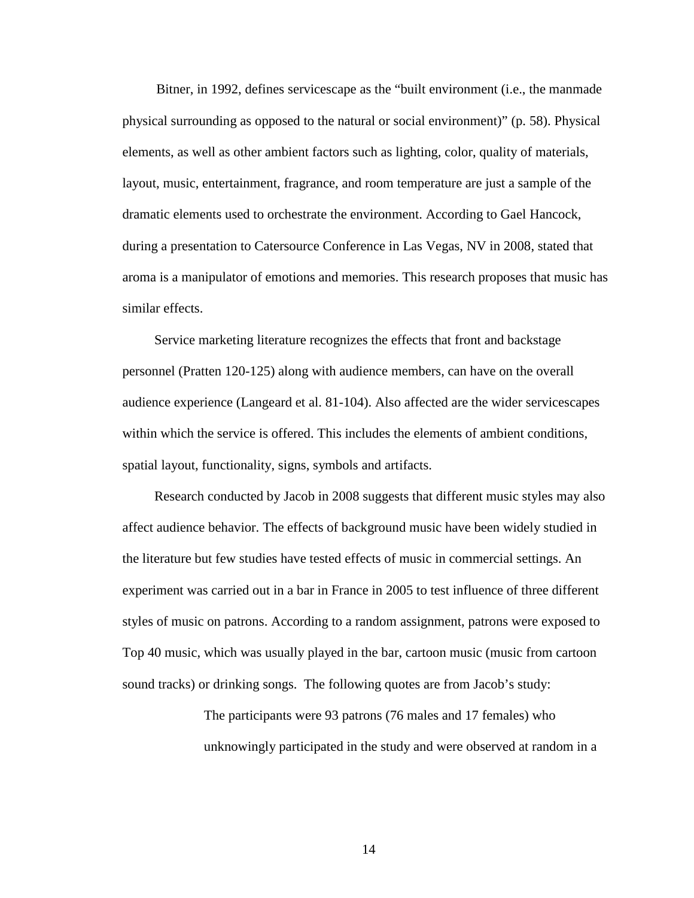Bitner, in 1992, defines servicescape as the "built environment (i.e., the manmade physical surrounding as opposed to the natural or social environment)" (p. 58). Physical elements, as well as other ambient factors such as lighting, color, quality of materials, layout, music, entertainment, fragrance, and room temperature are just a sample of the dramatic elements used to orchestrate the environment. According to Gael Hancock, during a presentation to Catersource Conference in Las Vegas, NV in 2008, stated that aroma is a manipulator of emotions and memories. This research proposes that music has similar effects.

 Service marketing literature recognizes the effects that front and backstage personnel (Pratten 120-125) along with audience members, can have on the overall audience experience (Langeard et al. 81-104). Also affected are the wider servicescapes within which the service is offered. This includes the elements of ambient conditions, spatial layout, functionality, signs, symbols and artifacts.

 Research conducted by Jacob in 2008 suggests that different music styles may also affect audience behavior. The effects of background music have been widely studied in the literature but few studies have tested effects of music in commercial settings. An experiment was carried out in a bar in France in 2005 to test influence of three different styles of music on patrons. According to a random assignment, patrons were exposed to Top 40 music, which was usually played in the bar, cartoon music (music from cartoon sound tracks) or drinking songs. The following quotes are from Jacob's study:

> The participants were 93 patrons (76 males and 17 females) who unknowingly participated in the study and were observed at random in a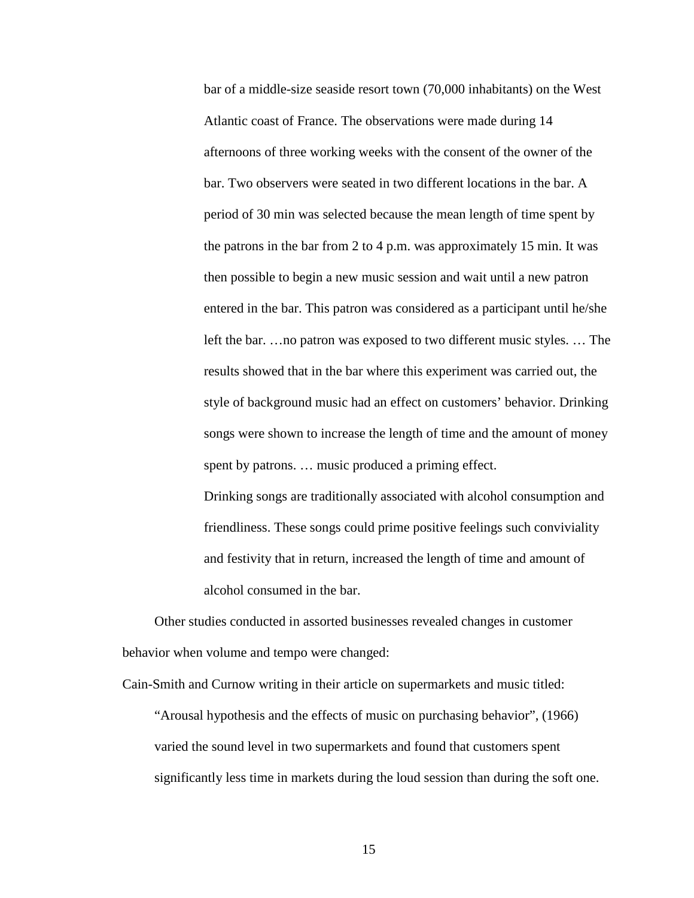bar of a middle-size seaside resort town (70,000 inhabitants) on the West Atlantic coast of France. The observations were made during 14 afternoons of three working weeks with the consent of the owner of the bar. Two observers were seated in two different locations in the bar. A period of 30 min was selected because the mean length of time spent by the patrons in the bar from 2 to 4 p.m. was approximately 15 min. It was then possible to begin a new music session and wait until a new patron entered in the bar. This patron was considered as a participant until he/she left the bar. …no patron was exposed to two different music styles. … The results showed that in the bar where this experiment was carried out, the style of background music had an effect on customers' behavior. Drinking songs were shown to increase the length of time and the amount of money spent by patrons. … music produced a priming effect.

 Drinking songs are traditionally associated with alcohol consumption and friendliness. These songs could prime positive feelings such conviviality and festivity that in return, increased the length of time and amount of alcohol consumed in the bar.

 Other studies conducted in assorted businesses revealed changes in customer behavior when volume and tempo were changed:

Cain-Smith and Curnow writing in their article on supermarkets and music titled: "Arousal hypothesis and the effects of music on purchasing behavior", (1966) varied the sound level in two supermarkets and found that customers spent significantly less time in markets during the loud session than during the soft one.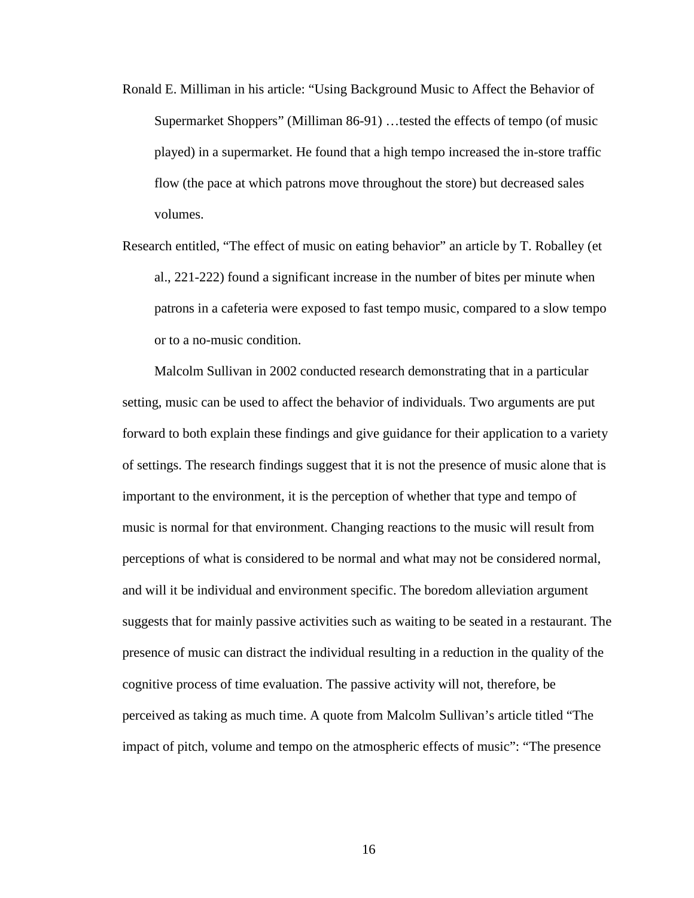- Ronald E. Milliman in his article: "Using Background Music to Affect the Behavior of Supermarket Shoppers" (Milliman 86-91) …tested the effects of tempo (of music played) in a supermarket. He found that a high tempo increased the in-store traffic flow (the pace at which patrons move throughout the store) but decreased sales volumes.
- Research entitled, "The effect of music on eating behavior" an article by T. Roballey (et al., 221-222) found a significant increase in the number of bites per minute when patrons in a cafeteria were exposed to fast tempo music, compared to a slow tempo or to a no-music condition.

 Malcolm Sullivan in 2002 conducted research demonstrating that in a particular setting, music can be used to affect the behavior of individuals. Two arguments are put forward to both explain these findings and give guidance for their application to a variety of settings. The research findings suggest that it is not the presence of music alone that is important to the environment, it is the perception of whether that type and tempo of music is normal for that environment. Changing reactions to the music will result from perceptions of what is considered to be normal and what may not be considered normal, and will it be individual and environment specific. The boredom alleviation argument suggests that for mainly passive activities such as waiting to be seated in a restaurant. The presence of music can distract the individual resulting in a reduction in the quality of the cognitive process of time evaluation. The passive activity will not, therefore, be perceived as taking as much time. A quote from Malcolm Sullivan's article titled "The impact of pitch, volume and tempo on the atmospheric effects of music": "The presence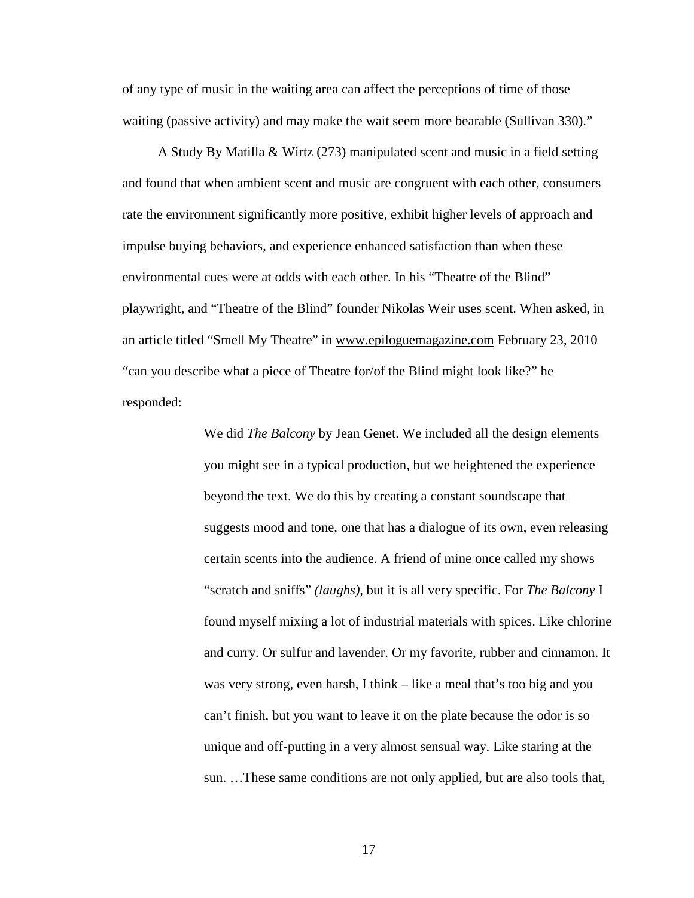of any type of music in the waiting area can affect the perceptions of time of those waiting (passive activity) and may make the wait seem more bearable (Sullivan 330)."

 A Study By Matilla & Wirtz (273) manipulated scent and music in a field setting and found that when ambient scent and music are congruent with each other, consumers rate the environment significantly more positive, exhibit higher levels of approach and impulse buying behaviors, and experience enhanced satisfaction than when these environmental cues were at odds with each other. In his "Theatre of the Blind" playwright, and "Theatre of the Blind" founder Nikolas Weir uses scent. When asked, in an article titled "Smell My Theatre" in www.epiloguemagazine.com February 23, 2010 "can you describe what a piece of Theatre for/of the Blind might look like?" he responded:

> We did *The Balcony* by Jean Genet. We included all the design elements you might see in a typical production, but we heightened the experience beyond the text. We do this by creating a constant soundscape that suggests mood and tone, one that has a dialogue of its own, even releasing certain scents into the audience. A friend of mine once called my shows "scratch and sniffs" *(laughs),* but it is all very specific. For *The Balcony* I found myself mixing a lot of industrial materials with spices. Like chlorine and curry. Or sulfur and lavender. Or my favorite, rubber and cinnamon. It was very strong, even harsh, I think – like a meal that's too big and you can't finish, but you want to leave it on the plate because the odor is so unique and off-putting in a very almost sensual way. Like staring at the sun. …These same conditions are not only applied, but are also tools that,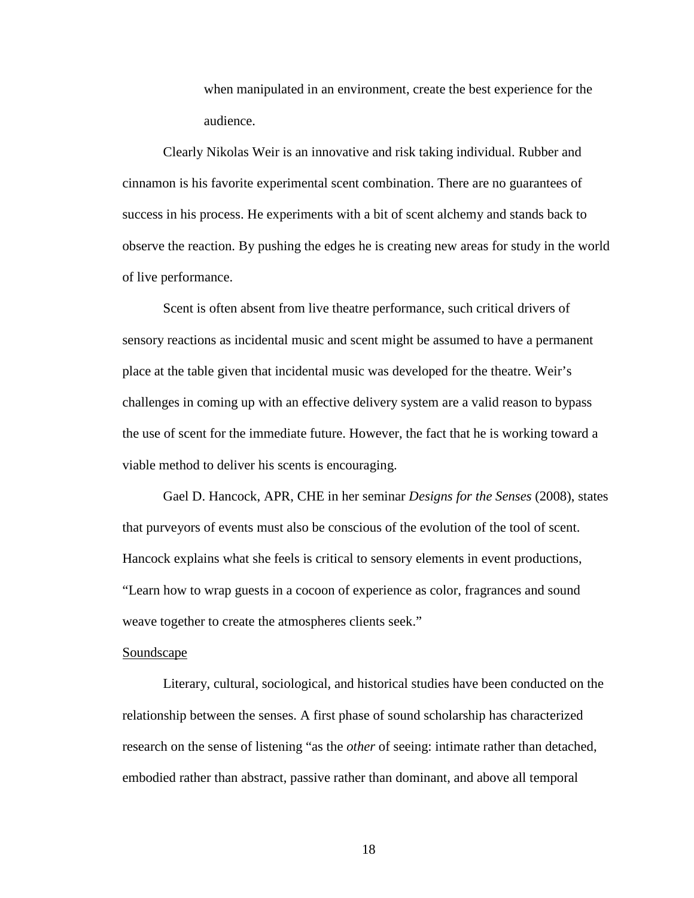when manipulated in an environment, create the best experience for the audience.

 Clearly Nikolas Weir is an innovative and risk taking individual. Rubber and cinnamon is his favorite experimental scent combination. There are no guarantees of success in his process. He experiments with a bit of scent alchemy and stands back to observe the reaction. By pushing the edges he is creating new areas for study in the world of live performance.

 Scent is often absent from live theatre performance, such critical drivers of sensory reactions as incidental music and scent might be assumed to have a permanent place at the table given that incidental music was developed for the theatre. Weir's challenges in coming up with an effective delivery system are a valid reason to bypass the use of scent for the immediate future. However, the fact that he is working toward a viable method to deliver his scents is encouraging.

 Gael D. Hancock, APR, CHE in her seminar *Designs for the Senses* (2008), states that purveyors of events must also be conscious of the evolution of the tool of scent. Hancock explains what she feels is critical to sensory elements in event productions, "Learn how to wrap guests in a cocoon of experience as color, fragrances and sound weave together to create the atmospheres clients seek."

#### **Soundscape**

 Literary, cultural, sociological, and historical studies have been conducted on the relationship between the senses. A first phase of sound scholarship has characterized research on the sense of listening "as the *other* of seeing: intimate rather than detached, embodied rather than abstract, passive rather than dominant, and above all temporal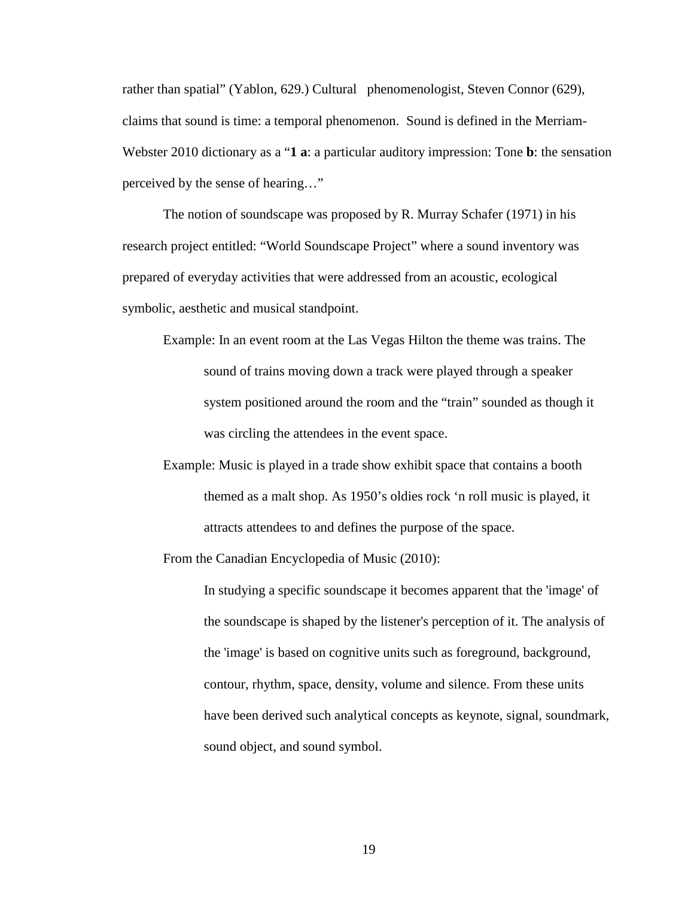rather than spatial" (Yablon, 629.) Cultural phenomenologist, Steven Connor (629), claims that sound is time: a temporal phenomenon. Sound is defined in the Merriam-Webster 2010 dictionary as a "**1 a**: a particular auditory impression: Tone **b**: the sensation perceived by the sense of hearing…"

 The notion of soundscape was proposed by R. Murray Schafer (1971) in his research project entitled: "World Soundscape Project" where a sound inventory was prepared of everyday activities that were addressed from an acoustic, ecological symbolic, aesthetic and musical standpoint.

 Example: In an event room at the Las Vegas Hilton the theme was trains. The sound of trains moving down a track were played through a speaker system positioned around the room and the "train" sounded as though it was circling the attendees in the event space.

 Example: Music is played in a trade show exhibit space that contains a booth themed as a malt shop. As 1950's oldies rock 'n roll music is played, it attracts attendees to and defines the purpose of the space.

From the Canadian Encyclopedia of Music (2010):

 In studying a specific soundscape it becomes apparent that the 'image' of the soundscape is shaped by the listener's perception of it. The analysis of the 'image' is based on cognitive units such as foreground, background, contour, rhythm, space, density, volume and silence. From these units have been derived such analytical concepts as keynote, signal, soundmark, sound object, and sound symbol.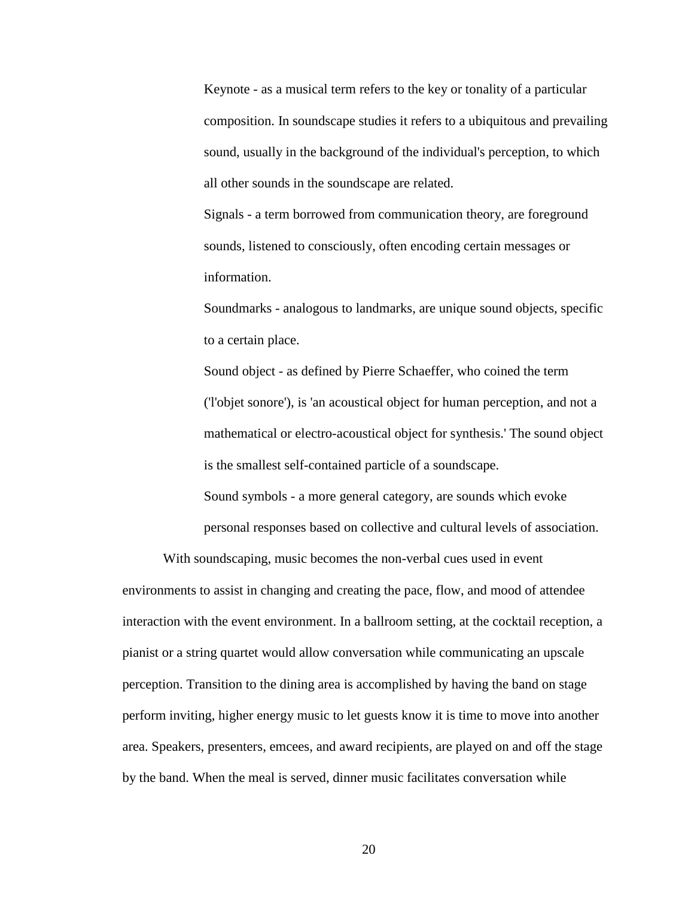Keynote - as a musical term refers to the key or tonality of a particular composition. In soundscape studies it refers to a ubiquitous and prevailing sound, usually in the background of the individual's perception, to which all other sounds in the soundscape are related.

 Signals - a term borrowed from communication theory, are foreground sounds, listened to consciously, often encoding certain messages or information.

 Soundmarks - analogous to landmarks, are unique sound objects, specific to a certain place.

 Sound object - as defined by Pierre Schaeffer, who coined the term ('l'objet sonore'), is 'an acoustical object for human perception, and not a mathematical or electro-acoustical object for synthesis.' The sound object is the smallest self-contained particle of a soundscape.

 Sound symbols - a more general category, are sounds which evoke personal responses based on collective and cultural levels of association.

With soundscaping, music becomes the non-verbal cues used in event environments to assist in changing and creating the pace, flow, and mood of attendee interaction with the event environment. In a ballroom setting, at the cocktail reception, a pianist or a string quartet would allow conversation while communicating an upscale perception. Transition to the dining area is accomplished by having the band on stage perform inviting, higher energy music to let guests know it is time to move into another area. Speakers, presenters, emcees, and award recipients, are played on and off the stage by the band. When the meal is served, dinner music facilitates conversation while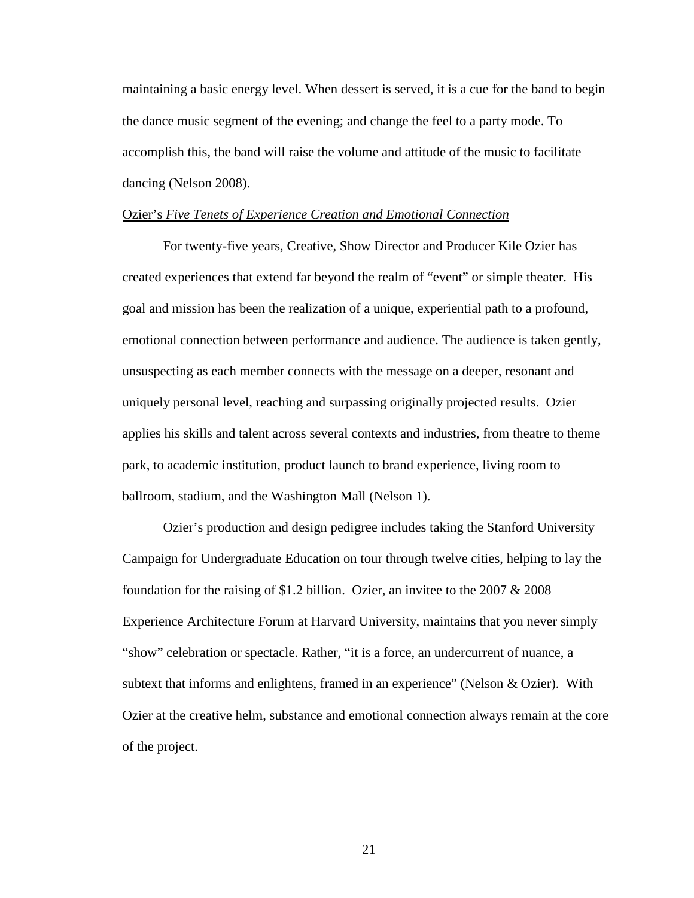maintaining a basic energy level. When dessert is served, it is a cue for the band to begin the dance music segment of the evening; and change the feel to a party mode. To accomplish this, the band will raise the volume and attitude of the music to facilitate dancing (Nelson 2008).

#### Ozier's *Five Tenets of Experience Creation and Emotional Connection*

For twenty-five years, Creative, Show Director and Producer Kile Ozier has created experiences that extend far beyond the realm of "event" or simple theater. His goal and mission has been the realization of a unique, experiential path to a profound, emotional connection between performance and audience. The audience is taken gently, unsuspecting as each member connects with the message on a deeper, resonant and uniquely personal level, reaching and surpassing originally projected results. Ozier applies his skills and talent across several contexts and industries, from theatre to theme park, to academic institution, product launch to brand experience, living room to ballroom, stadium, and the Washington Mall (Nelson 1).

 Ozier's production and design pedigree includes taking the Stanford University Campaign for Undergraduate Education on tour through twelve cities, helping to lay the foundation for the raising of \$1.2 billion. Ozier, an invitee to the 2007  $& 2008$ Experience Architecture Forum at Harvard University, maintains that you never simply "show" celebration or spectacle. Rather, "it is a force, an undercurrent of nuance, a subtext that informs and enlightens, framed in an experience" (Nelson & Ozier). With Ozier at the creative helm, substance and emotional connection always remain at the core of the project.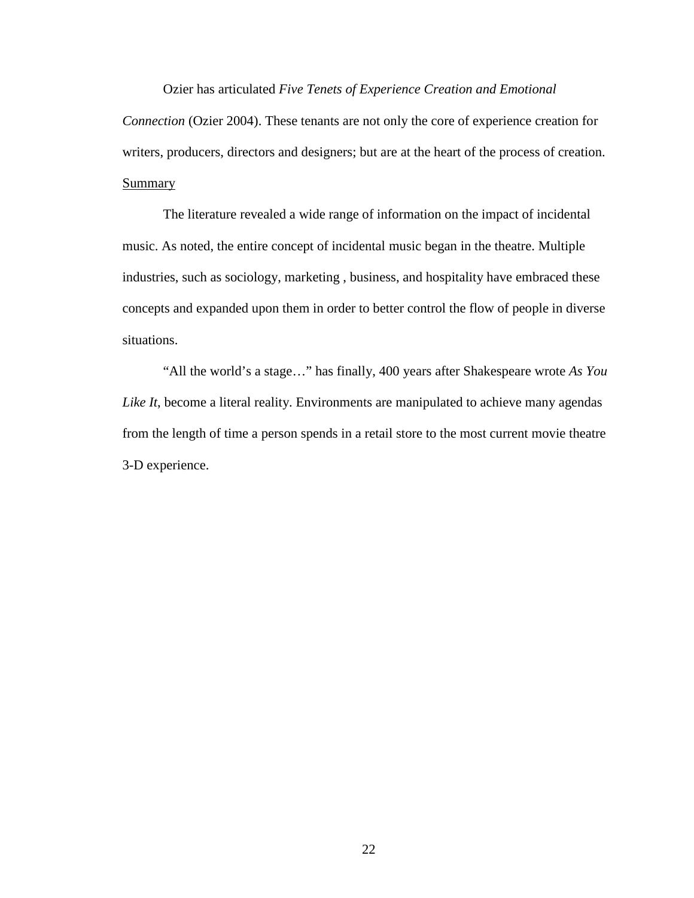Ozier has articulated *Five Tenets of Experience Creation and Emotional* 

*Connection* (Ozier 2004). These tenants are not only the core of experience creation for writers, producers, directors and designers; but are at the heart of the process of creation. **Summary** 

The literature revealed a wide range of information on the impact of incidental music. As noted, the entire concept of incidental music began in the theatre. Multiple industries, such as sociology, marketing , business, and hospitality have embraced these concepts and expanded upon them in order to better control the flow of people in diverse situations.

"All the world's a stage…" has finally, 400 years after Shakespeare wrote *As You Like It*, become a literal reality. Environments are manipulated to achieve many agendas from the length of time a person spends in a retail store to the most current movie theatre 3-D experience.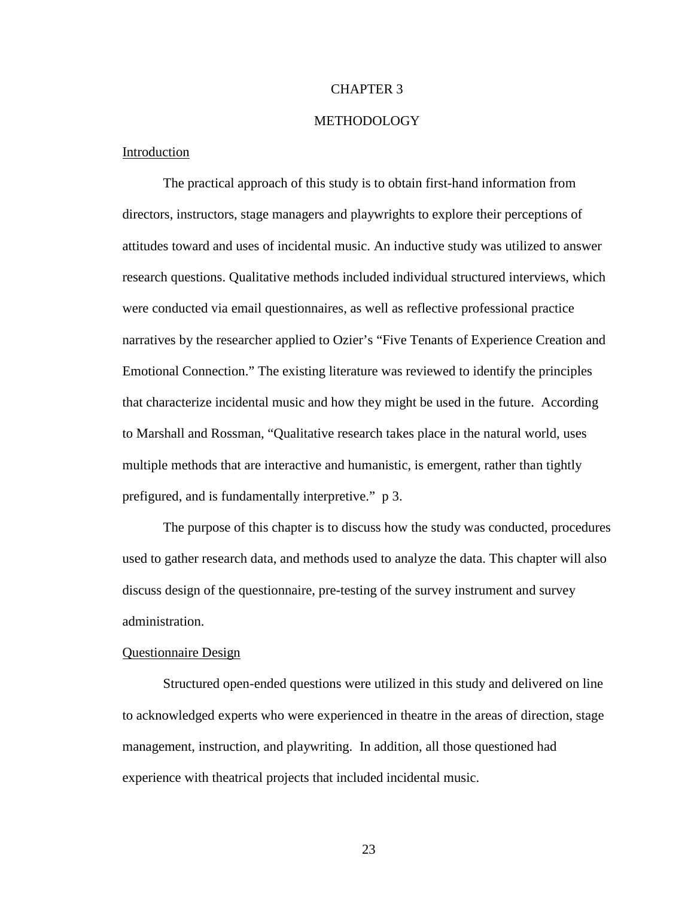#### CHAPTER 3

#### METHODOLOGY

#### Introduction

The practical approach of this study is to obtain first-hand information from directors, instructors, stage managers and playwrights to explore their perceptions of attitudes toward and uses of incidental music. An inductive study was utilized to answer research questions. Qualitative methods included individual structured interviews, which were conducted via email questionnaires, as well as reflective professional practice narratives by the researcher applied to Ozier's "Five Tenants of Experience Creation and Emotional Connection." The existing literature was reviewed to identify the principles that characterize incidental music and how they might be used in the future. According to Marshall and Rossman, "Qualitative research takes place in the natural world, uses multiple methods that are interactive and humanistic, is emergent, rather than tightly prefigured, and is fundamentally interpretive." p 3.

 The purpose of this chapter is to discuss how the study was conducted, procedures used to gather research data, and methods used to analyze the data. This chapter will also discuss design of the questionnaire, pre-testing of the survey instrument and survey administration.

#### Questionnaire Design

 Structured open-ended questions were utilized in this study and delivered on line to acknowledged experts who were experienced in theatre in the areas of direction, stage management, instruction, and playwriting. In addition, all those questioned had experience with theatrical projects that included incidental music.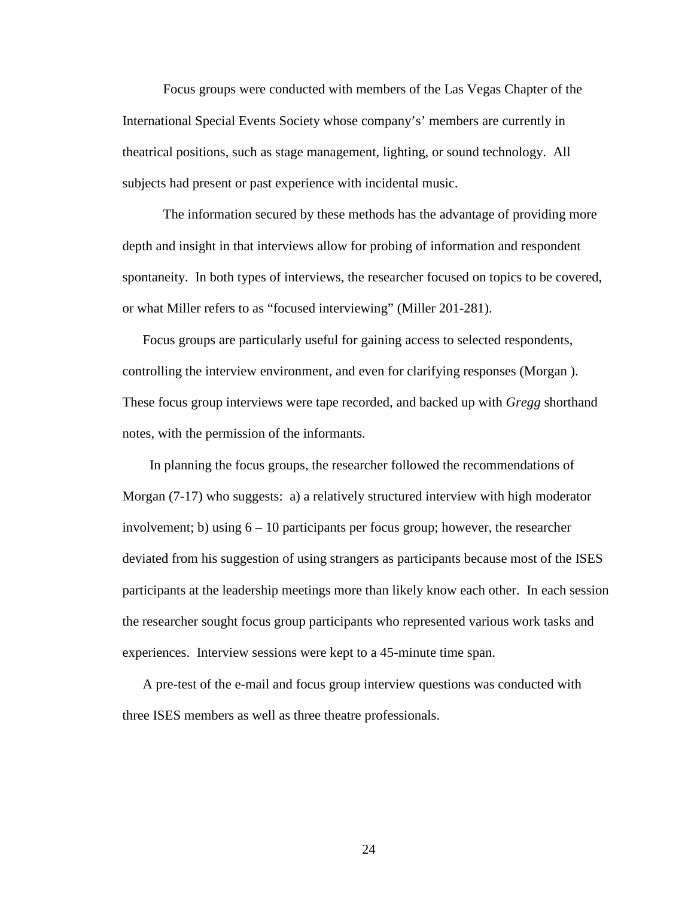Focus groups were conducted with members of the Las Vegas Chapter of the International Special Events Society whose company's' members are currently in theatrical positions, such as stage management, lighting, or sound technology. All subjects had present or past experience with incidental music.

 The information secured by these methods has the advantage of providing more depth and insight in that interviews allow for probing of information and respondent spontaneity. In both types of interviews, the researcher focused on topics to be covered, or what Miller refers to as "focused interviewing" (Miller 201-281).

Focus groups are particularly useful for gaining access to selected respondents, controlling the interview environment, and even for clarifying responses (Morgan ). These focus group interviews were tape recorded, and backed up with *Gregg* shorthand notes, with the permission of the informants.

 In planning the focus groups, the researcher followed the recommendations of Morgan (7-17) who suggests: a) a relatively structured interview with high moderator involvement; b) using  $6 - 10$  participants per focus group; however, the researcher deviated from his suggestion of using strangers as participants because most of the ISES participants at the leadership meetings more than likely know each other. In each session the researcher sought focus group participants who represented various work tasks and experiences. Interview sessions were kept to a 45-minute time span.

A pre-test of the e-mail and focus group interview questions was conducted with three ISES members as well as three theatre professionals.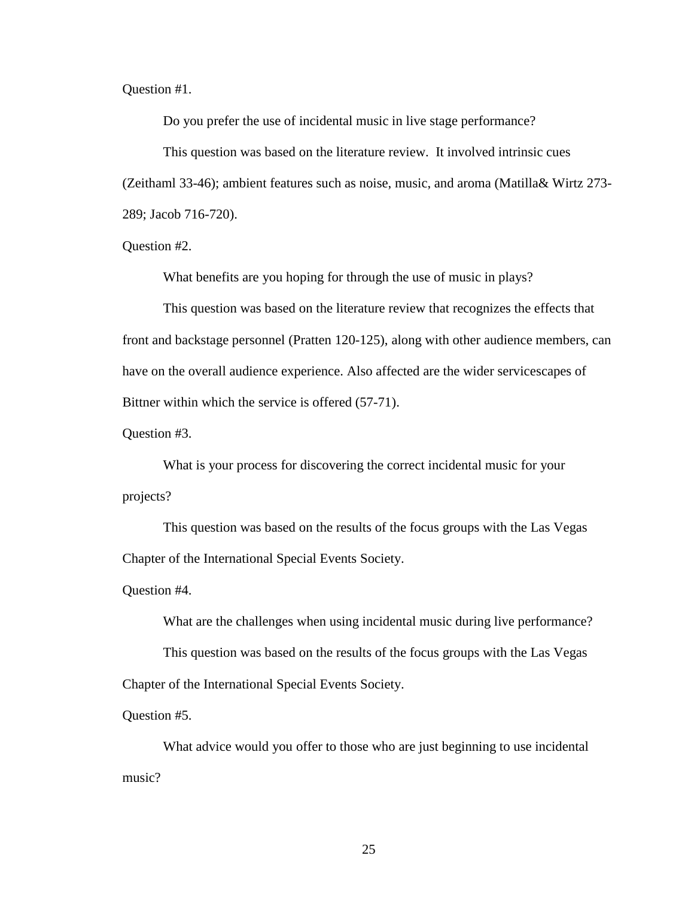Question #1.

Do you prefer the use of incidental music in live stage performance?

 This question was based on the literature review. It involved intrinsic cues (Zeithaml 33-46); ambient features such as noise, music, and aroma (Matilla& Wirtz 273- 289; Jacob 716-720).

Question #2.

What benefits are you hoping for through the use of music in plays?

 This question was based on the literature review that recognizes the effects that front and backstage personnel (Pratten 120-125), along with other audience members, can have on the overall audience experience. Also affected are the wider servicescapes of Bittner within which the service is offered (57-71).

Question #3.

 What is your process for discovering the correct incidental music for your projects?

 This question was based on the results of the focus groups with the Las Vegas Chapter of the International Special Events Society.

Question #4.

What are the challenges when using incidental music during live performance?

 This question was based on the results of the focus groups with the Las Vegas Chapter of the International Special Events Society.

Question #5.

 What advice would you offer to those who are just beginning to use incidental music?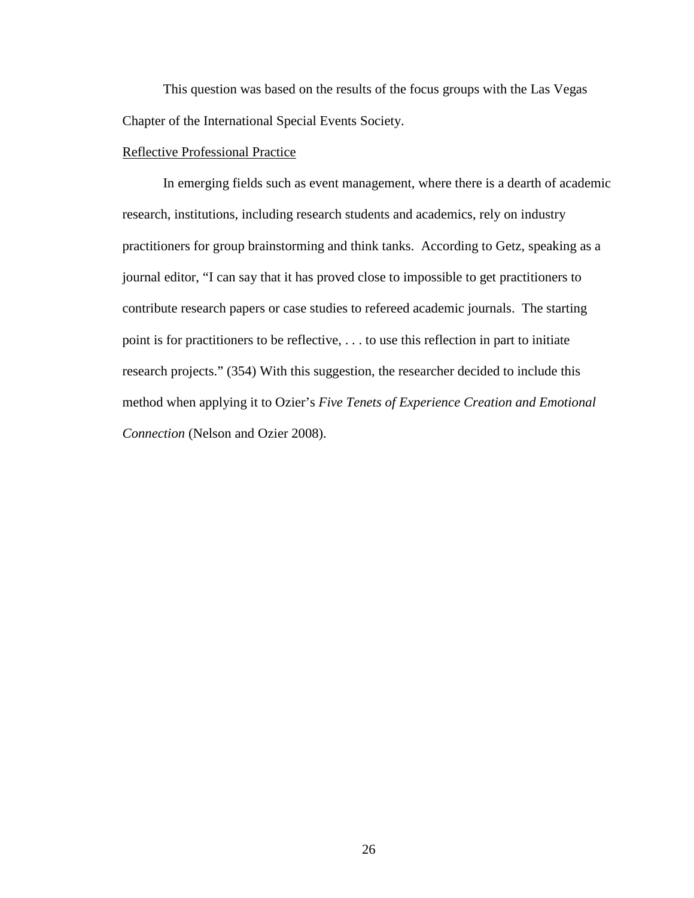This question was based on the results of the focus groups with the Las Vegas Chapter of the International Special Events Society.

#### Reflective Professional Practice

 In emerging fields such as event management, where there is a dearth of academic research, institutions, including research students and academics, rely on industry practitioners for group brainstorming and think tanks. According to Getz, speaking as a journal editor, "I can say that it has proved close to impossible to get practitioners to contribute research papers or case studies to refereed academic journals. The starting point is for practitioners to be reflective, . . . to use this reflection in part to initiate research projects." (354) With this suggestion, the researcher decided to include this method when applying it to Ozier's *Five Tenets of Experience Creation and Emotional Connection* (Nelson and Ozier 2008).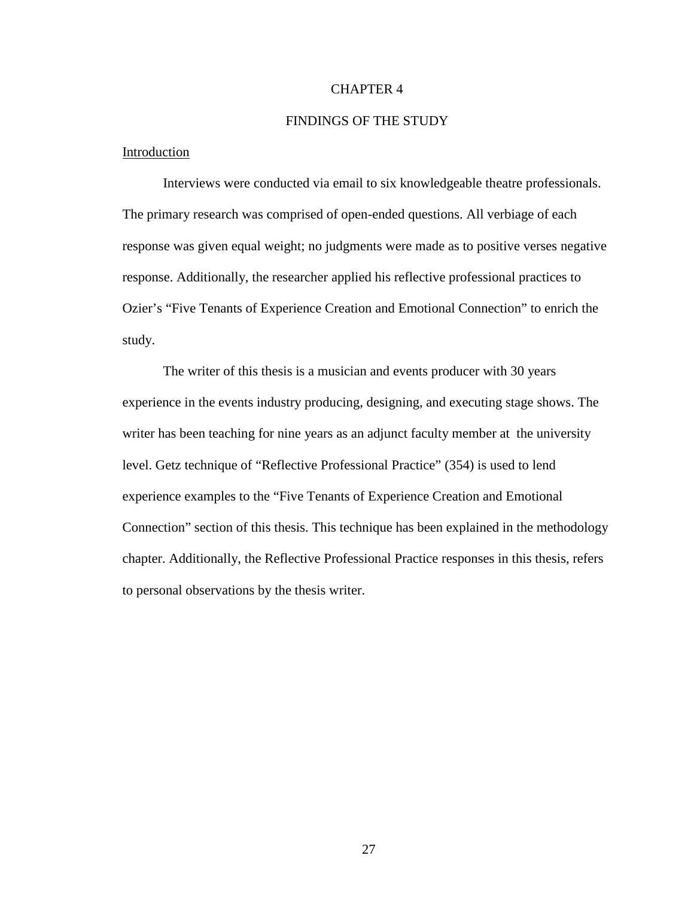#### CHAPTER 4

#### FINDINGS OF THE STUDY

#### Introduction

 Interviews were conducted via email to six knowledgeable theatre professionals. The primary research was comprised of open-ended questions. All verbiage of each response was given equal weight; no judgments were made as to positive verses negative response. Additionally, the researcher applied his reflective professional practices to Ozier's "Five Tenants of Experience Creation and Emotional Connection" to enrich the study.

 The writer of this thesis is a musician and events producer with 30 years experience in the events industry producing, designing, and executing stage shows. The writer has been teaching for nine years as an adjunct faculty member at the university level. Getz technique of "Reflective Professional Practice" (354) is used to lend experience examples to the "Five Tenants of Experience Creation and Emotional Connection" section of this thesis. This technique has been explained in the methodology chapter. Additionally, the Reflective Professional Practice responses in this thesis, refers to personal observations by the thesis writer.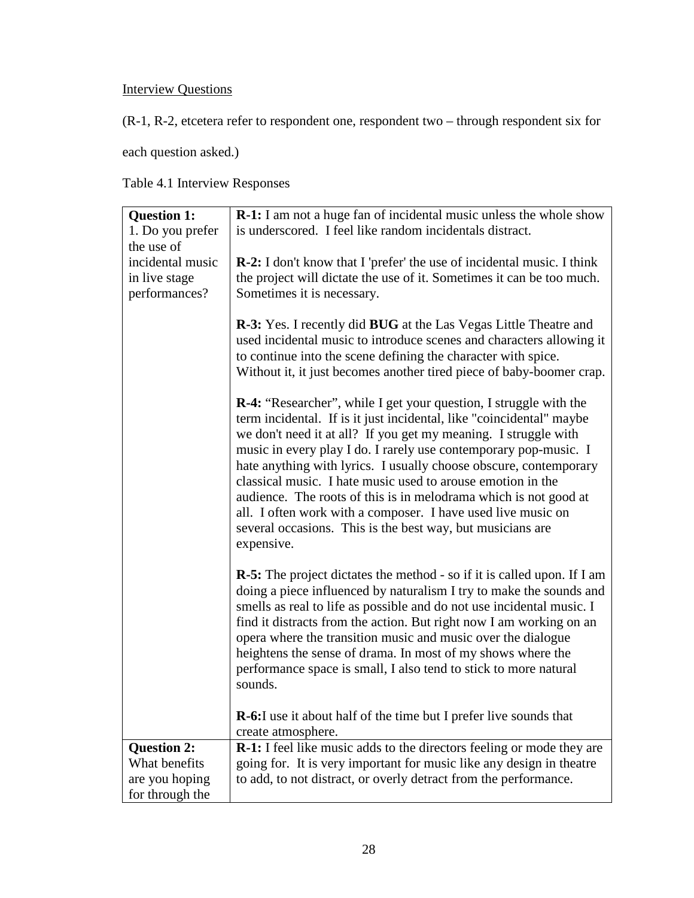## **Interview Questions**

(R-1, R-2, etcetera refer to respondent one, respondent two – through respondent six for

each question asked.)

Table 4.1 Interview Responses

| <b>Question 1:</b>             | R-1: I am not a huge fan of incidental music unless the whole show                                                                                                                                                                                                                                                                                                                                                                                                                                                                                                                                                                          |
|--------------------------------|---------------------------------------------------------------------------------------------------------------------------------------------------------------------------------------------------------------------------------------------------------------------------------------------------------------------------------------------------------------------------------------------------------------------------------------------------------------------------------------------------------------------------------------------------------------------------------------------------------------------------------------------|
| 1. Do you prefer               | is underscored. I feel like random incidentals distract.                                                                                                                                                                                                                                                                                                                                                                                                                                                                                                                                                                                    |
| the use of<br>incidental music | <b>R-2:</b> I don't know that I 'prefer' the use of incidental music. I think                                                                                                                                                                                                                                                                                                                                                                                                                                                                                                                                                               |
| in live stage                  | the project will dictate the use of it. Sometimes it can be too much.                                                                                                                                                                                                                                                                                                                                                                                                                                                                                                                                                                       |
| performances?                  | Sometimes it is necessary.                                                                                                                                                                                                                                                                                                                                                                                                                                                                                                                                                                                                                  |
|                                |                                                                                                                                                                                                                                                                                                                                                                                                                                                                                                                                                                                                                                             |
|                                | <b>R-3:</b> Yes. I recently did <b>BUG</b> at the Las Vegas Little Theatre and                                                                                                                                                                                                                                                                                                                                                                                                                                                                                                                                                              |
|                                | used incidental music to introduce scenes and characters allowing it                                                                                                                                                                                                                                                                                                                                                                                                                                                                                                                                                                        |
|                                | to continue into the scene defining the character with spice.                                                                                                                                                                                                                                                                                                                                                                                                                                                                                                                                                                               |
|                                | Without it, it just becomes another tired piece of baby-boomer crap.                                                                                                                                                                                                                                                                                                                                                                                                                                                                                                                                                                        |
|                                | <b>R-4:</b> "Researcher", while I get your question, I struggle with the<br>term incidental. If is it just incidental, like "coincidental" maybe<br>we don't need it at all? If you get my meaning. I struggle with<br>music in every play I do. I rarely use contemporary pop-music. I<br>hate anything with lyrics. I usually choose obscure, contemporary<br>classical music. I hate music used to arouse emotion in the<br>audience. The roots of this is in melodrama which is not good at<br>all. I often work with a composer. I have used live music on<br>several occasions. This is the best way, but musicians are<br>expensive. |
|                                | <b>R-5:</b> The project dictates the method - so if it is called upon. If I am<br>doing a piece influenced by naturalism I try to make the sounds and<br>smells as real to life as possible and do not use incidental music. I<br>find it distracts from the action. But right now I am working on an<br>opera where the transition music and music over the dialogue<br>heightens the sense of drama. In most of my shows where the<br>performance space is small, I also tend to stick to more natural<br>sounds.                                                                                                                         |
|                                | R-6:I use it about half of the time but I prefer live sounds that<br>create atmosphere.                                                                                                                                                                                                                                                                                                                                                                                                                                                                                                                                                     |
| <b>Question 2:</b>             | R-1: I feel like music adds to the directors feeling or mode they are                                                                                                                                                                                                                                                                                                                                                                                                                                                                                                                                                                       |
| What benefits                  | going for. It is very important for music like any design in theatre                                                                                                                                                                                                                                                                                                                                                                                                                                                                                                                                                                        |
| are you hoping                 | to add, to not distract, or overly detract from the performance.                                                                                                                                                                                                                                                                                                                                                                                                                                                                                                                                                                            |
| for through the                |                                                                                                                                                                                                                                                                                                                                                                                                                                                                                                                                                                                                                                             |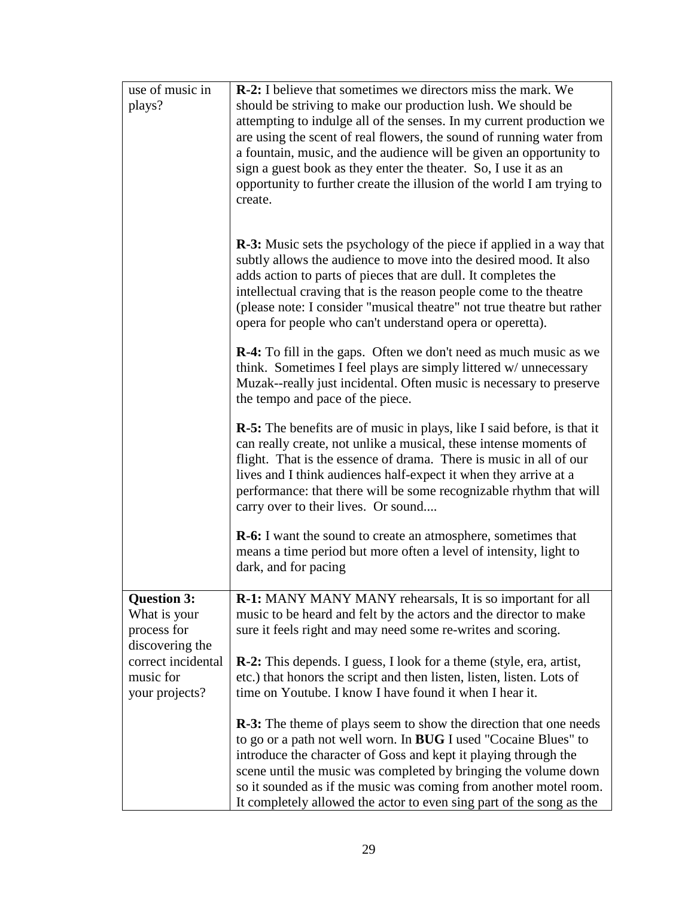| use of music in<br>plays?                                                                                                 | <b>R-2:</b> I believe that sometimes we directors miss the mark. We<br>should be striving to make our production lush. We should be<br>attempting to indulge all of the senses. In my current production we<br>are using the scent of real flowers, the sound of running water from<br>a fountain, music, and the audience will be given an opportunity to<br>sign a guest book as they enter the theater. So, I use it as an<br>opportunity to further create the illusion of the world I am trying to<br>create. |
|---------------------------------------------------------------------------------------------------------------------------|--------------------------------------------------------------------------------------------------------------------------------------------------------------------------------------------------------------------------------------------------------------------------------------------------------------------------------------------------------------------------------------------------------------------------------------------------------------------------------------------------------------------|
|                                                                                                                           | <b>R-3:</b> Music sets the psychology of the piece if applied in a way that<br>subtly allows the audience to move into the desired mood. It also<br>adds action to parts of pieces that are dull. It completes the<br>intellectual craving that is the reason people come to the theatre<br>(please note: I consider "musical theatre" not true theatre but rather<br>opera for people who can't understand opera or operetta).                                                                                    |
|                                                                                                                           | <b>R-4:</b> To fill in the gaps. Often we don't need as much music as we<br>think. Sometimes I feel plays are simply littered w/ unnecessary<br>Muzak--really just incidental. Often music is necessary to preserve<br>the tempo and pace of the piece.                                                                                                                                                                                                                                                            |
|                                                                                                                           | <b>R-5:</b> The benefits are of music in plays, like I said before, is that it<br>can really create, not unlike a musical, these intense moments of<br>flight. That is the essence of drama. There is music in all of our<br>lives and I think audiences half-expect it when they arrive at a<br>performance: that there will be some recognizable rhythm that will<br>carry over to their lives. Or sound                                                                                                         |
|                                                                                                                           | <b>R-6:</b> I want the sound to create an atmosphere, sometimes that<br>means a time period but more often a level of intensity, light to<br>dark, and for pacing                                                                                                                                                                                                                                                                                                                                                  |
| <b>Question 3:</b><br>What is your<br>process for<br>discovering the<br>correct incidental<br>music for<br>your projects? | R-1: MANY MANY MANY rehearsals, It is so important for all<br>music to be heard and felt by the actors and the director to make<br>sure it feels right and may need some re-writes and scoring.                                                                                                                                                                                                                                                                                                                    |
|                                                                                                                           | <b>R-2:</b> This depends. I guess, I look for a theme (style, era, artist,<br>etc.) that honors the script and then listen, listen, listen. Lots of<br>time on Youtube. I know I have found it when I hear it.                                                                                                                                                                                                                                                                                                     |
|                                                                                                                           | <b>R-3:</b> The theme of plays seem to show the direction that one needs<br>to go or a path not well worn. In BUG I used "Cocaine Blues" to<br>introduce the character of Goss and kept it playing through the<br>scene until the music was completed by bringing the volume down<br>so it sounded as if the music was coming from another motel room.<br>It completely allowed the actor to even sing part of the song as the                                                                                     |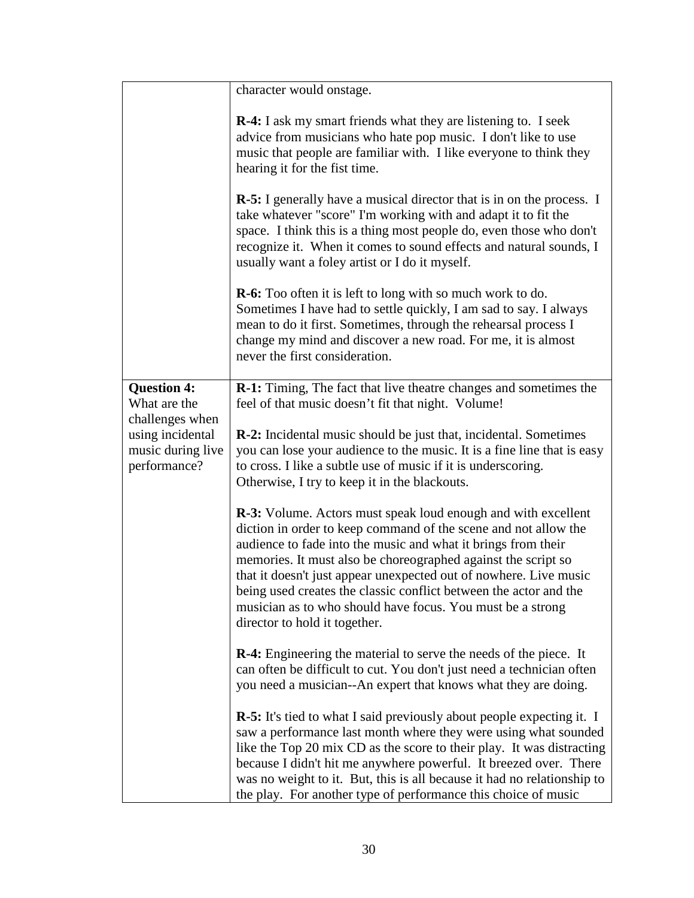|                                                                                                                | character would onstage.                                                                                                                                                                                                                                                                                                                                                                                                                                                                                           |
|----------------------------------------------------------------------------------------------------------------|--------------------------------------------------------------------------------------------------------------------------------------------------------------------------------------------------------------------------------------------------------------------------------------------------------------------------------------------------------------------------------------------------------------------------------------------------------------------------------------------------------------------|
|                                                                                                                | <b>R-4:</b> I ask my smart friends what they are listening to. I seek<br>advice from musicians who hate pop music. I don't like to use<br>music that people are familiar with. I like everyone to think they<br>hearing it for the fist time.                                                                                                                                                                                                                                                                      |
|                                                                                                                | <b>R-5:</b> I generally have a musical director that is in on the process. I<br>take whatever "score" I'm working with and adapt it to fit the<br>space. I think this is a thing most people do, even those who don't<br>recognize it. When it comes to sound effects and natural sounds, I<br>usually want a foley artist or I do it myself.                                                                                                                                                                      |
|                                                                                                                | <b>R-6:</b> Too often it is left to long with so much work to do.<br>Sometimes I have had to settle quickly, I am sad to say. I always<br>mean to do it first. Sometimes, through the rehearsal process I<br>change my mind and discover a new road. For me, it is almost<br>never the first consideration.                                                                                                                                                                                                        |
| <b>Question 4:</b><br>What are the<br>challenges when<br>using incidental<br>music during live<br>performance? | <b>R-1:</b> Timing, The fact that live theatre changes and sometimes the<br>feel of that music doesn't fit that night. Volume!                                                                                                                                                                                                                                                                                                                                                                                     |
|                                                                                                                | <b>R-2:</b> Incidental music should be just that, incidental. Sometimes<br>you can lose your audience to the music. It is a fine line that is easy<br>to cross. I like a subtle use of music if it is underscoring.<br>Otherwise, I try to keep it in the blackouts.                                                                                                                                                                                                                                               |
|                                                                                                                | <b>R-3:</b> Volume. Actors must speak loud enough and with excellent<br>diction in order to keep command of the scene and not allow the<br>audience to fade into the music and what it brings from their<br>memories. It must also be choreographed against the script so<br>that it doesn't just appear unexpected out of nowhere. Live music<br>being used creates the classic conflict between the actor and the<br>musician as to who should have focus. You must be a strong<br>director to hold it together. |
|                                                                                                                | <b>R-4:</b> Engineering the material to serve the needs of the piece. It<br>can often be difficult to cut. You don't just need a technician often<br>you need a musician--An expert that knows what they are doing.                                                                                                                                                                                                                                                                                                |
|                                                                                                                | <b>R-5:</b> It's tied to what I said previously about people expecting it. I<br>saw a performance last month where they were using what sounded<br>like the Top 20 mix CD as the score to their play. It was distracting<br>because I didn't hit me anywhere powerful. It breezed over. There<br>was no weight to it. But, this is all because it had no relationship to<br>the play. For another type of performance this choice of music                                                                         |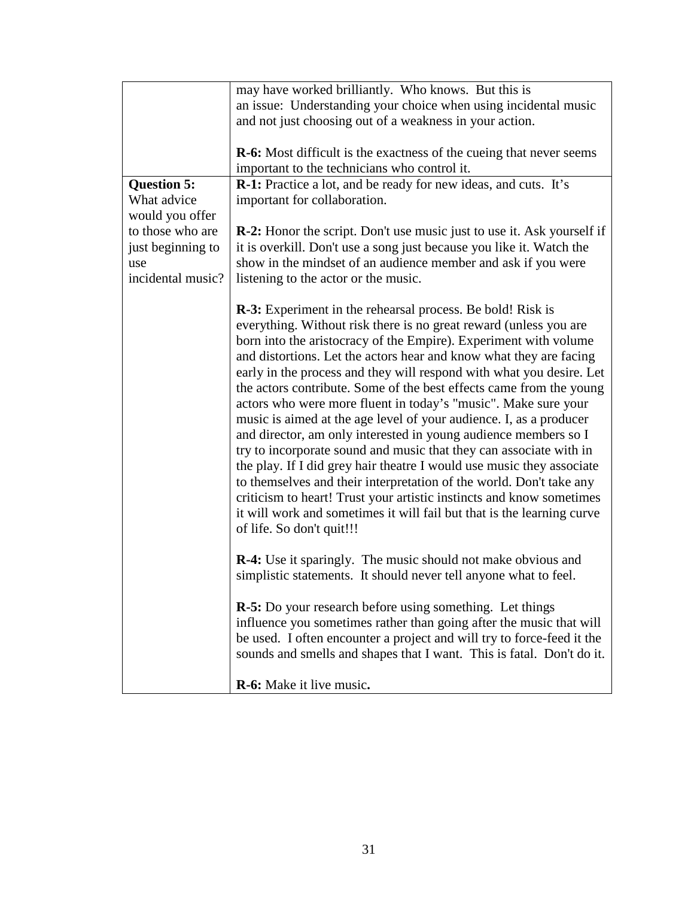|                    | may have worked brilliantly. Who knows. But this is                           |
|--------------------|-------------------------------------------------------------------------------|
|                    | an issue: Understanding your choice when using incidental music               |
|                    | and not just choosing out of a weakness in your action.                       |
|                    |                                                                               |
|                    | <b>R-6:</b> Most difficult is the exactness of the cueing that never seems    |
|                    | important to the technicians who control it.                                  |
| <b>Question 5:</b> | R-1: Practice a lot, and be ready for new ideas, and cuts. It's               |
| What advice        | important for collaboration.                                                  |
| would you offer    |                                                                               |
| to those who are   | <b>R-2:</b> Honor the script. Don't use music just to use it. Ask yourself if |
| just beginning to  | it is overkill. Don't use a song just because you like it. Watch the          |
| use                | show in the mindset of an audience member and ask if you were                 |
| incidental music?  |                                                                               |
|                    | listening to the actor or the music.                                          |
|                    |                                                                               |
|                    | <b>R-3:</b> Experiment in the rehearsal process. Be bold! Risk is             |
|                    | everything. Without risk there is no great reward (unless you are             |
|                    | born into the aristocracy of the Empire). Experiment with volume              |
|                    | and distortions. Let the actors hear and know what they are facing            |
|                    | early in the process and they will respond with what you desire. Let          |
|                    | the actors contribute. Some of the best effects came from the young           |
|                    | actors who were more fluent in today's "music". Make sure your                |
|                    | music is aimed at the age level of your audience. I, as a producer            |
|                    | and director, am only interested in young audience members so I               |
|                    | try to incorporate sound and music that they can associate with in            |
|                    | the play. If I did grey hair theatre I would use music they associate         |
|                    | to themselves and their interpretation of the world. Don't take any           |
|                    | criticism to heart! Trust your artistic instincts and know sometimes          |
|                    | it will work and sometimes it will fail but that is the learning curve        |
|                    | of life. So don't quit!!!                                                     |
|                    |                                                                               |
|                    | <b>R-4:</b> Use it sparingly. The music should not make obvious and           |
|                    | simplistic statements. It should never tell anyone what to feel.              |
|                    |                                                                               |
|                    | <b>R-5:</b> Do your research before using something. Let things               |
|                    | influence you sometimes rather than going after the music that will           |
|                    | be used. I often encounter a project and will try to force-feed it the        |
|                    | sounds and smells and shapes that I want. This is fatal. Don't do it.         |
|                    |                                                                               |
|                    |                                                                               |
|                    | R-6: Make it live music.                                                      |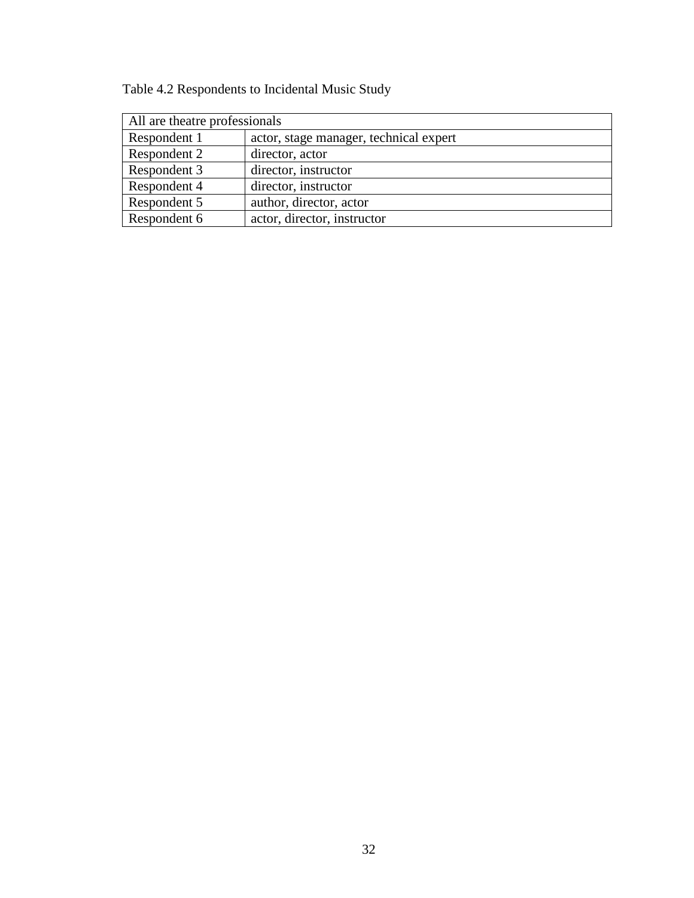| Table 4.2 Respondents to Incidental Music Study |  |
|-------------------------------------------------|--|
|-------------------------------------------------|--|

| All are theatre professionals |                                        |  |
|-------------------------------|----------------------------------------|--|
| Respondent 1                  | actor, stage manager, technical expert |  |
| Respondent 2                  | director, actor                        |  |
| Respondent 3                  | director, instructor                   |  |
| Respondent 4                  | director, instructor                   |  |
| Respondent 5                  | author, director, actor                |  |
| Respondent 6                  | actor, director, instructor            |  |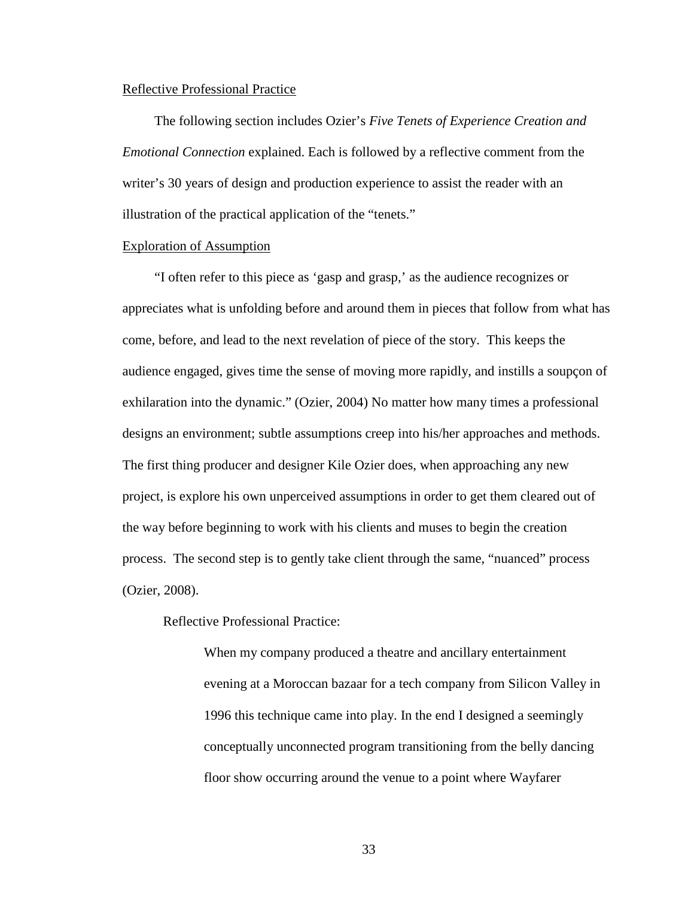#### Reflective Professional Practice

 The following section includes Ozier's *Five Tenets of Experience Creation and Emotional Connection* explained. Each is followed by a reflective comment from the writer's 30 years of design and production experience to assist the reader with an illustration of the practical application of the "tenets."

#### Exploration of Assumption

 "I often refer to this piece as 'gasp and grasp,' as the audience recognizes or appreciates what is unfolding before and around them in pieces that follow from what has come, before, and lead to the next revelation of piece of the story. This keeps the audience engaged, gives time the sense of moving more rapidly, and instills a soupçon of exhilaration into the dynamic." (Ozier, 2004) No matter how many times a professional designs an environment; subtle assumptions creep into his/her approaches and methods. The first thing producer and designer Kile Ozier does, when approaching any new project, is explore his own unperceived assumptions in order to get them cleared out of the way before beginning to work with his clients and muses to begin the creation process. The second step is to gently take client through the same, "nuanced" process (Ozier, 2008).

Reflective Professional Practice:

 When my company produced a theatre and ancillary entertainment evening at a Moroccan bazaar for a tech company from Silicon Valley in 1996 this technique came into play. In the end I designed a seemingly conceptually unconnected program transitioning from the belly dancing floor show occurring around the venue to a point where Wayfarer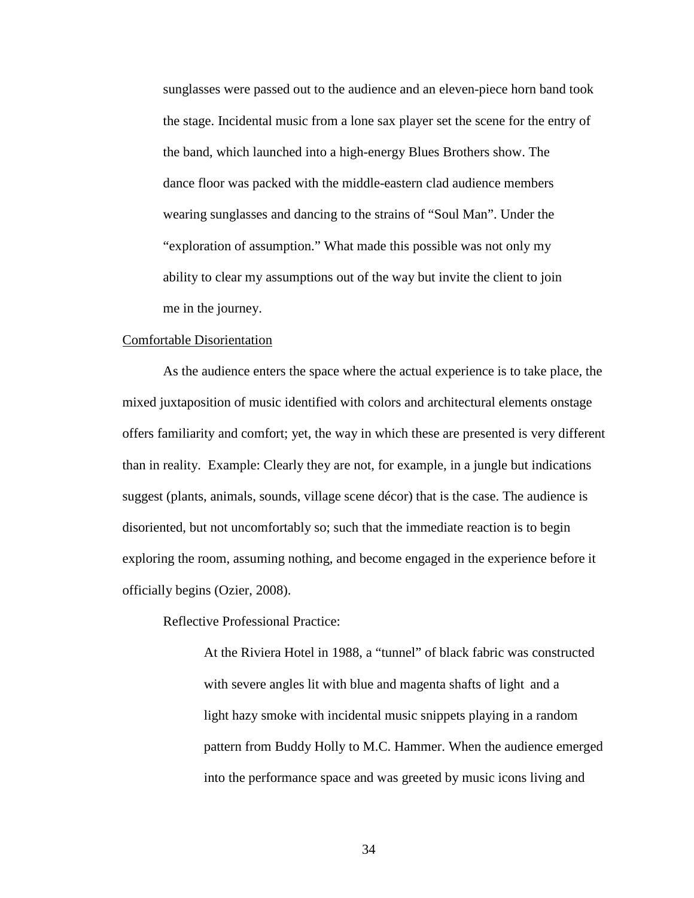sunglasses were passed out to the audience and an eleven-piece horn band took the stage. Incidental music from a lone sax player set the scene for the entry of the band, which launched into a high-energy Blues Brothers show. The dance floor was packed with the middle-eastern clad audience members wearing sunglasses and dancing to the strains of "Soul Man". Under the "exploration of assumption." What made this possible was not only my ability to clear my assumptions out of the way but invite the client to join me in the journey.

#### Comfortable Disorientation

 As the audience enters the space where the actual experience is to take place, the mixed juxtaposition of music identified with colors and architectural elements onstage offers familiarity and comfort; yet, the way in which these are presented is very different than in reality. Example: Clearly they are not, for example, in a jungle but indications suggest (plants, animals, sounds, village scene décor) that is the case. The audience is disoriented, but not uncomfortably so; such that the immediate reaction is to begin exploring the room, assuming nothing, and become engaged in the experience before it officially begins (Ozier, 2008).

Reflective Professional Practice:

 At the Riviera Hotel in 1988, a "tunnel" of black fabric was constructed with severe angles lit with blue and magenta shafts of light and a light hazy smoke with incidental music snippets playing in a random pattern from Buddy Holly to M.C. Hammer. When the audience emerged into the performance space and was greeted by music icons living and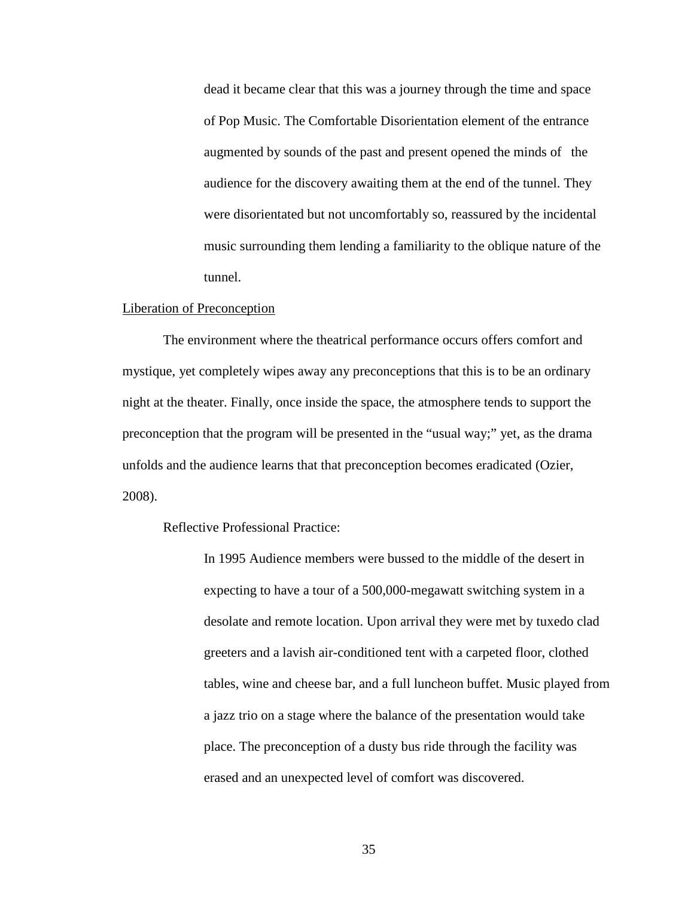dead it became clear that this was a journey through the time and space of Pop Music. The Comfortable Disorientation element of the entrance augmented by sounds of the past and present opened the minds of the audience for the discovery awaiting them at the end of the tunnel. They were disorientated but not uncomfortably so, reassured by the incidental music surrounding them lending a familiarity to the oblique nature of the tunnel.

#### Liberation of Preconception

 The environment where the theatrical performance occurs offers comfort and mystique, yet completely wipes away any preconceptions that this is to be an ordinary night at the theater. Finally, once inside the space, the atmosphere tends to support the preconception that the program will be presented in the "usual way;" yet, as the drama unfolds and the audience learns that that preconception becomes eradicated (Ozier, 2008).

#### Reflective Professional Practice:

In 1995 Audience members were bussed to the middle of the desert in expecting to have a tour of a 500,000-megawatt switching system in a desolate and remote location. Upon arrival they were met by tuxedo clad greeters and a lavish air-conditioned tent with a carpeted floor, clothed tables, wine and cheese bar, and a full luncheon buffet. Music played from a jazz trio on a stage where the balance of the presentation would take place. The preconception of a dusty bus ride through the facility was erased and an unexpected level of comfort was discovered.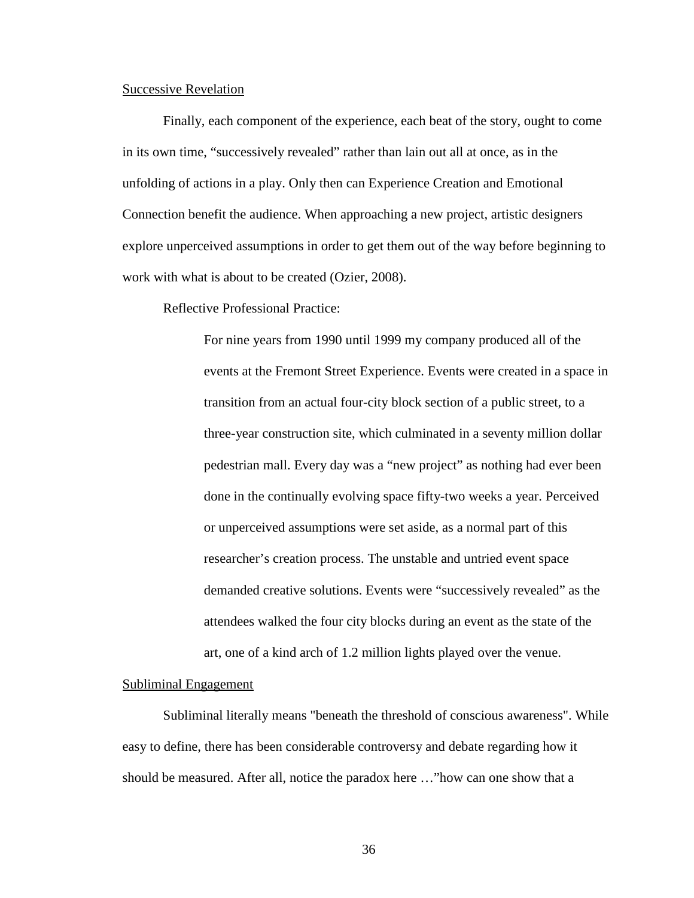#### Successive Revelation

 Finally, each component of the experience, each beat of the story, ought to come in its own time, "successively revealed" rather than lain out all at once, as in the unfolding of actions in a play. Only then can Experience Creation and Emotional Connection benefit the audience. When approaching a new project, artistic designers explore unperceived assumptions in order to get them out of the way before beginning to work with what is about to be created (Ozier, 2008).

Reflective Professional Practice:

 For nine years from 1990 until 1999 my company produced all of the events at the Fremont Street Experience. Events were created in a space in transition from an actual four-city block section of a public street, to a three-year construction site, which culminated in a seventy million dollar pedestrian mall. Every day was a "new project" as nothing had ever been done in the continually evolving space fifty-two weeks a year. Perceived or unperceived assumptions were set aside, as a normal part of this researcher's creation process. The unstable and untried event space demanded creative solutions. Events were "successively revealed" as the attendees walked the four city blocks during an event as the state of the art, one of a kind arch of 1.2 million lights played over the venue.

#### Subliminal Engagement

 Subliminal literally means "beneath the threshold of conscious awareness". While easy to define, there has been considerable controversy and debate regarding how it should be measured. After all, notice the paradox here …"how can one show that a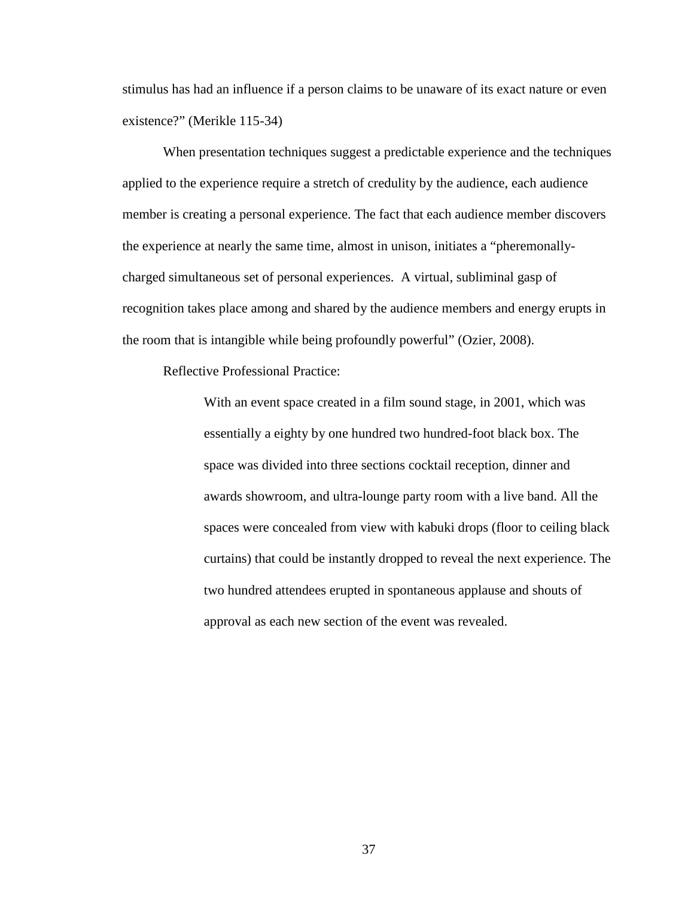stimulus has had an influence if a person claims to be unaware of its exact nature or even existence?" (Merikle 115-34)

 When presentation techniques suggest a predictable experience and the techniques applied to the experience require a stretch of credulity by the audience, each audience member is creating a personal experience. The fact that each audience member discovers the experience at nearly the same time, almost in unison, initiates a "pheremonallycharged simultaneous set of personal experiences. A virtual, subliminal gasp of recognition takes place among and shared by the audience members and energy erupts in the room that is intangible while being profoundly powerful" (Ozier, 2008).

Reflective Professional Practice:

 With an event space created in a film sound stage, in 2001, which was essentially a eighty by one hundred two hundred-foot black box. The space was divided into three sections cocktail reception, dinner and awards showroom, and ultra-lounge party room with a live band. All the spaces were concealed from view with kabuki drops (floor to ceiling black curtains) that could be instantly dropped to reveal the next experience. The two hundred attendees erupted in spontaneous applause and shouts of approval as each new section of the event was revealed.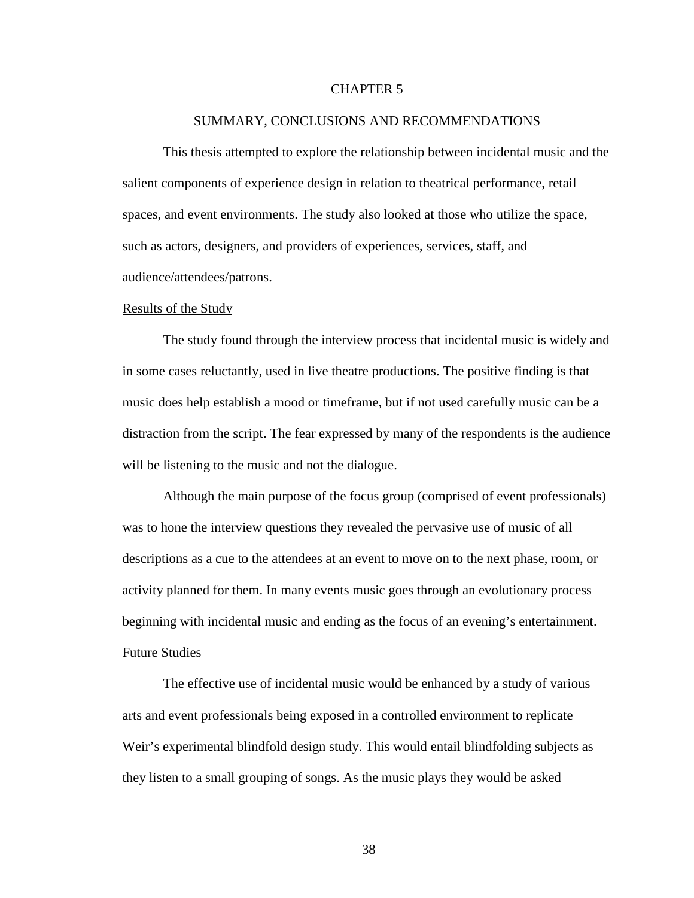#### CHAPTER 5

#### SUMMARY, CONCLUSIONS AND RECOMMENDATIONS

 This thesis attempted to explore the relationship between incidental music and the salient components of experience design in relation to theatrical performance, retail spaces, and event environments. The study also looked at those who utilize the space, such as actors, designers, and providers of experiences, services, staff, and audience/attendees/patrons.

#### Results of the Study

 The study found through the interview process that incidental music is widely and in some cases reluctantly, used in live theatre productions. The positive finding is that music does help establish a mood or timeframe, but if not used carefully music can be a distraction from the script. The fear expressed by many of the respondents is the audience will be listening to the music and not the dialogue.

 Although the main purpose of the focus group (comprised of event professionals) was to hone the interview questions they revealed the pervasive use of music of all descriptions as a cue to the attendees at an event to move on to the next phase, room, or activity planned for them. In many events music goes through an evolutionary process beginning with incidental music and ending as the focus of an evening's entertainment. Future Studies

 The effective use of incidental music would be enhanced by a study of various arts and event professionals being exposed in a controlled environment to replicate Weir's experimental blindfold design study. This would entail blindfolding subjects as they listen to a small grouping of songs. As the music plays they would be asked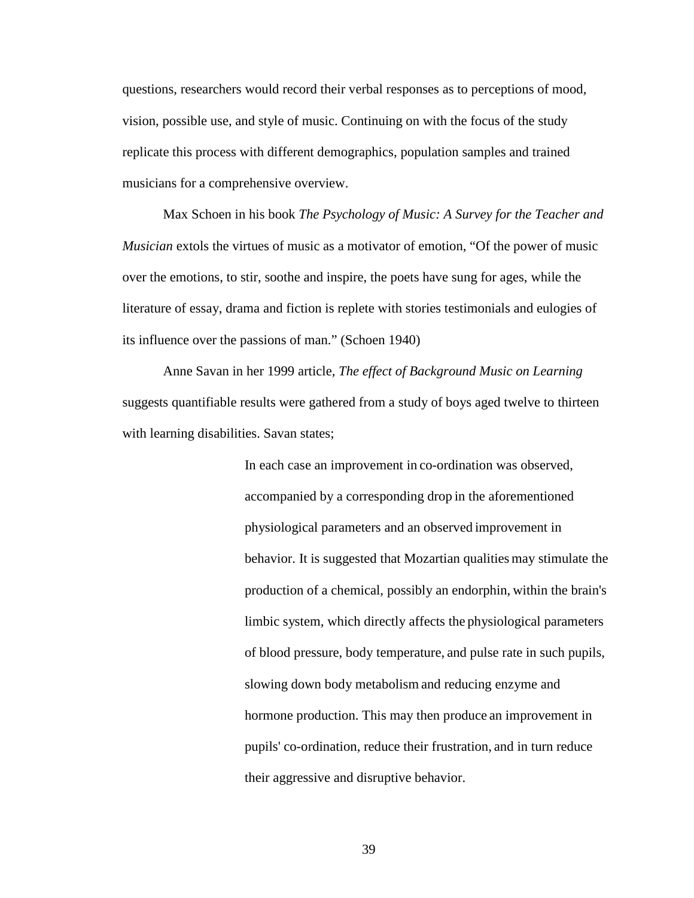questions, researchers would record their verbal responses as to perceptions of mood, vision, possible use, and style of music. Continuing on with the focus of the study replicate this process with different demographics, population samples and trained musicians for a comprehensive overview.

 Max Schoen in his book *The Psychology of Music: A Survey for the Teacher and Musician* extols the virtues of music as a motivator of emotion, "Of the power of music over the emotions, to stir, soothe and inspire, the poets have sung for ages, while the literature of essay, drama and fiction is replete with stories testimonials and eulogies of its influence over the passions of man." (Schoen 1940)

 Anne Savan in her 1999 article, *The effect of Background Music on Learning*  suggests quantifiable results were gathered from a study of boys aged twelve to thirteen with learning disabilities. Savan states;

> In each case an improvement in co-ordination was observed, accompanied by a corresponding drop in the aforementioned physiological parameters and an observed improvement in behavior. It is suggested that Mozartian qualities may stimulate the production of a chemical, possibly an endorphin, within the brain's limbic system, which directly affects the physiological parameters of blood pressure, body temperature, and pulse rate in such pupils, slowing down body metabolism and reducing enzyme and hormone production. This may then produce an improvement in pupils' co-ordination, reduce their frustration, and in turn reduce their aggressive and disruptive behavior.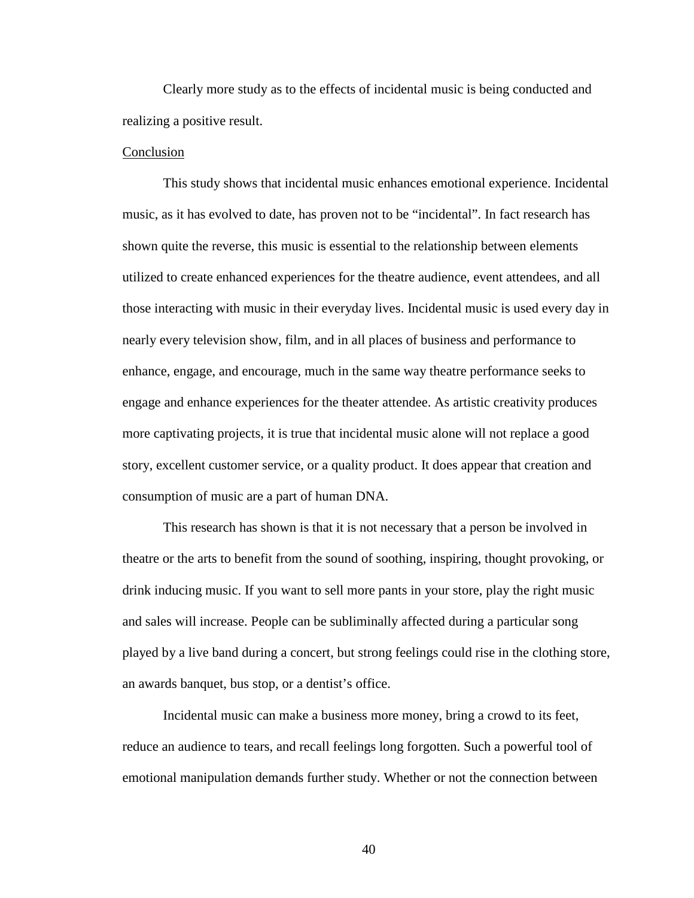Clearly more study as to the effects of incidental music is being conducted and realizing a positive result.

#### Conclusion

 This study shows that incidental music enhances emotional experience. Incidental music, as it has evolved to date, has proven not to be "incidental". In fact research has shown quite the reverse, this music is essential to the relationship between elements utilized to create enhanced experiences for the theatre audience, event attendees, and all those interacting with music in their everyday lives. Incidental music is used every day in nearly every television show, film, and in all places of business and performance to enhance, engage, and encourage, much in the same way theatre performance seeks to engage and enhance experiences for the theater attendee. As artistic creativity produces more captivating projects, it is true that incidental music alone will not replace a good story, excellent customer service, or a quality product. It does appear that creation and consumption of music are a part of human DNA.

 This research has shown is that it is not necessary that a person be involved in theatre or the arts to benefit from the sound of soothing, inspiring, thought provoking, or drink inducing music. If you want to sell more pants in your store, play the right music and sales will increase. People can be subliminally affected during a particular song played by a live band during a concert, but strong feelings could rise in the clothing store, an awards banquet, bus stop, or a dentist's office.

 Incidental music can make a business more money, bring a crowd to its feet, reduce an audience to tears, and recall feelings long forgotten. Such a powerful tool of emotional manipulation demands further study. Whether or not the connection between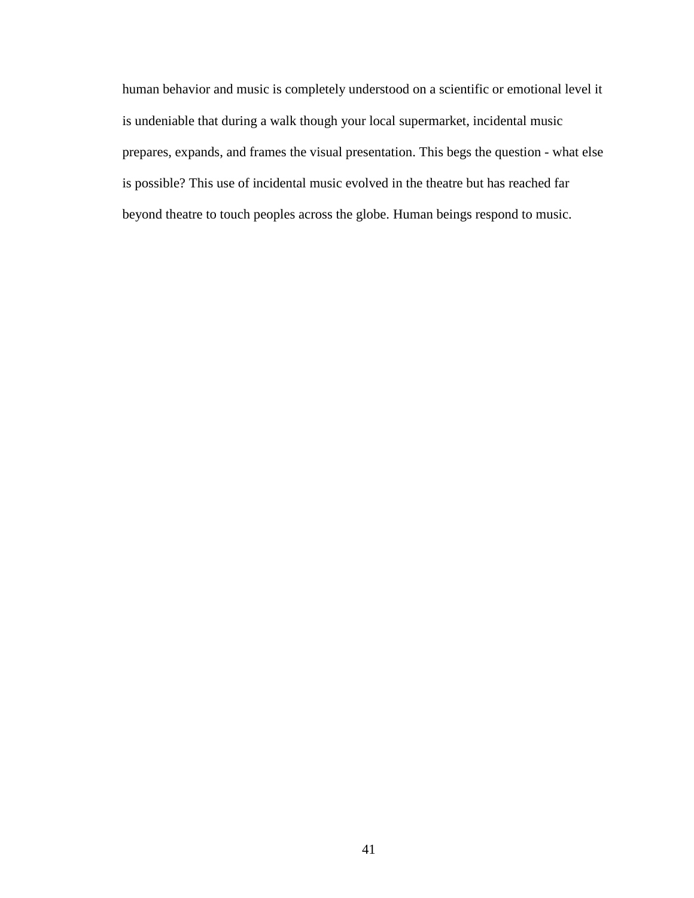human behavior and music is completely understood on a scientific or emotional level it is undeniable that during a walk though your local supermarket, incidental music prepares, expands, and frames the visual presentation. This begs the question - what else is possible? This use of incidental music evolved in the theatre but has reached far beyond theatre to touch peoples across the globe. Human beings respond to music.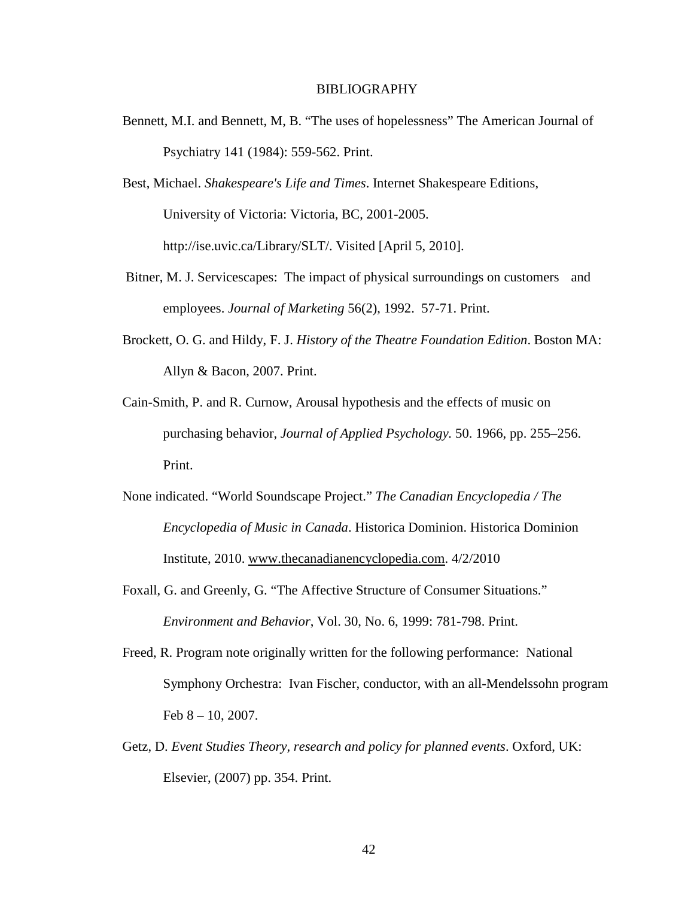#### BIBLIOGRAPHY

- Bennett, M.I. and Bennett, M, B. "The uses of hopelessness" The American Journal of Psychiatry 141 (1984): 559-562. Print.
- Best, Michael. *Shakespeare's Life and Times*. Internet Shakespeare Editions, University of Victoria: Victoria, BC, 2001-2005. http://ise.uvic.ca/Library/SLT/. Visited [April 5, 2010].
- Bitner, M. J. Servicescapes: The impact of physical surroundings on customers and employees. *Journal of Marketing* 56(2), 1992. 57-71. Print.
- Brockett, O. G. and Hildy, F. J. *History of the Theatre Foundation Edition*. Boston MA: Allyn & Bacon, 2007. Print.
- Cain-Smith, P. and R. Curnow, Arousal hypothesis and the effects of music on purchasing behavior, *Journal of Applied Psychology.* 50. 1966, pp. 255–256. Print.
- None indicated. "World Soundscape Project." *The Canadian Encyclopedia / The Encyclopedia of Music in Canada*. Historica Dominion. Historica Dominion Institute, 2010. www.thecanadianencyclopedia.com. 4/2/2010
- Foxall, G. and Greenly, G. "The Affective Structure of Consumer Situations." *Environment and Behavior*, Vol. 30, No. 6, 1999: 781-798. Print.
- Freed, R. Program note originally written for the following performance: National Symphony Orchestra: Ivan Fischer, conductor, with an all-Mendelssohn program Feb  $8 - 10$ , 2007.
- Getz, D. *Event Studies Theory, research and policy for planned events*. Oxford, UK: Elsevier, (2007) pp. 354. Print.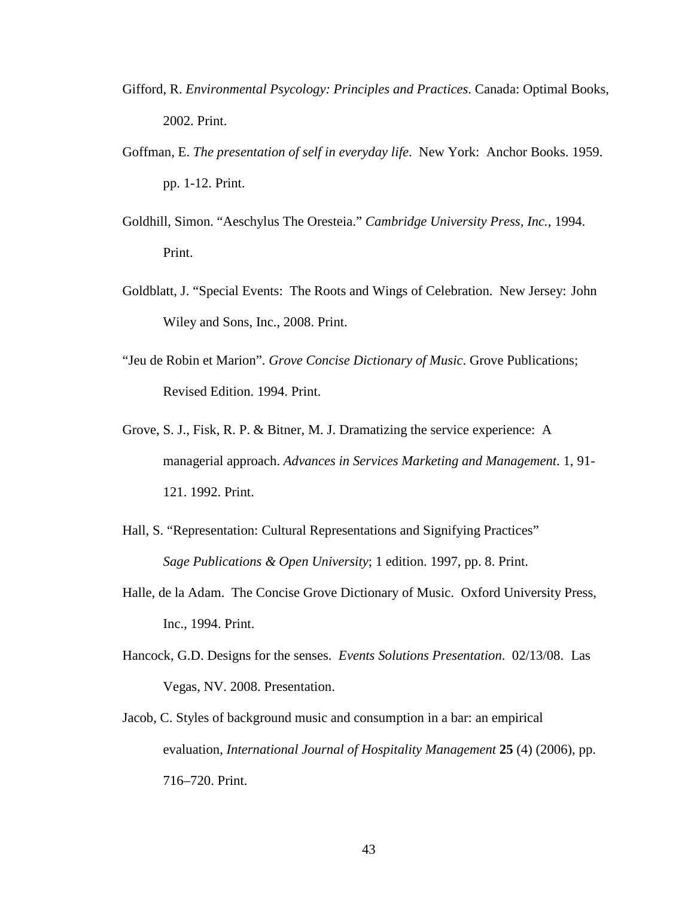- Gifford, R. *Environmental Psycology: Principles and Practices*. Canada: Optimal Books, 2002. Print.
- Goffman, E. *The presentation of self in everyday life*. New York: Anchor Books. 1959. pp. 1-12. Print.
- Goldhill, Simon. "Aeschylus The Oresteia." *Cambridge University Press, Inc.*, 1994. Print.
- Goldblatt, J. "Special Events: The Roots and Wings of Celebration. New Jersey: John Wiley and Sons, Inc., 2008. Print.
- "Jeu de Robin et Marion". *Grove Concise Dictionary of Music*. Grove Publications; Revised Edition. 1994. Print.
- Grove, S. J., Fisk, R. P. & Bitner, M. J. Dramatizing the service experience: A managerial approach. *Advances in Services Marketing and Management*. 1, 91- 121. 1992. Print.
- Hall, S. "Representation: Cultural Representations and Signifying Practices" *Sage Publications & Open University*; 1 edition. 1997, pp. 8. Print.
- Halle, de la Adam. The Concise Grove Dictionary of Music. Oxford University Press, Inc., 1994. Print.
- Hancock, G.D. Designs for the senses. *Events Solutions Presentation*. 02/13/08. Las Vegas, NV. 2008. Presentation.
- Jacob, C. Styles of background music and consumption in a bar: an empirical evaluation, *International Journal of Hospitality Management* **25** (4) (2006), pp. 716–720. Print.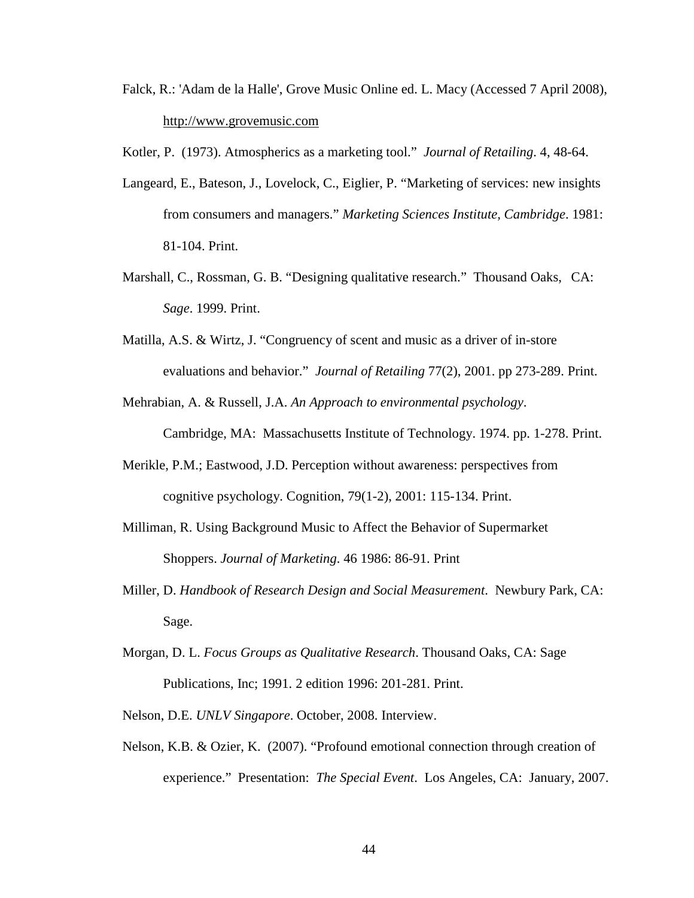Falck, R.: 'Adam de la Halle', Grove Music Online ed. L. Macy (Accessed 7 April 2008), http://www.grovemusic.com

Kotler, P. (1973). Atmospherics as a marketing tool." *Journal of Retailing*. 4, 48-64.

- Langeard, E., Bateson, J., Lovelock, C., Eiglier, P. "Marketing of services: new insights from consumers and managers." *Marketing Sciences Institute, Cambridge*. 1981: 81-104. Print.
- Marshall, C., Rossman, G. B. "Designing qualitative research." Thousand Oaks, CA: *Sage*. 1999. Print.
- Matilla, A.S. & Wirtz, J. "Congruency of scent and music as a driver of in-store evaluations and behavior." *Journal of Retailing* 77(2), 2001. pp 273-289. Print.
- Mehrabian, A. & Russell, J.A. *An Approach to environmental psychology*.

Cambridge, MA: Massachusetts Institute of Technology. 1974. pp. 1-278. Print.

- Merikle, P.M.; Eastwood, J.D. Perception without awareness: perspectives from cognitive psychology. Cognition, 79(1-2), 2001: 115-134. Print.
- Milliman, R. Using Background Music to Affect the Behavior of Supermarket Shoppers. *Journal of Marketing*. 46 1986: 86-91. Print
- Miller, D. *Handbook of Research Design and Social Measurement*. Newbury Park, CA: Sage.
- Morgan, D. L. *Focus Groups as Qualitative Research*. Thousand Oaks, CA: Sage Publications, Inc; 1991. 2 edition 1996: 201-281. Print.
- Nelson, D.E. *UNLV Singapore*. October, 2008. Interview.
- Nelson, K.B. & Ozier, K. (2007). "Profound emotional connection through creation of experience." Presentation: *The Special Event*. Los Angeles, CA: January, 2007.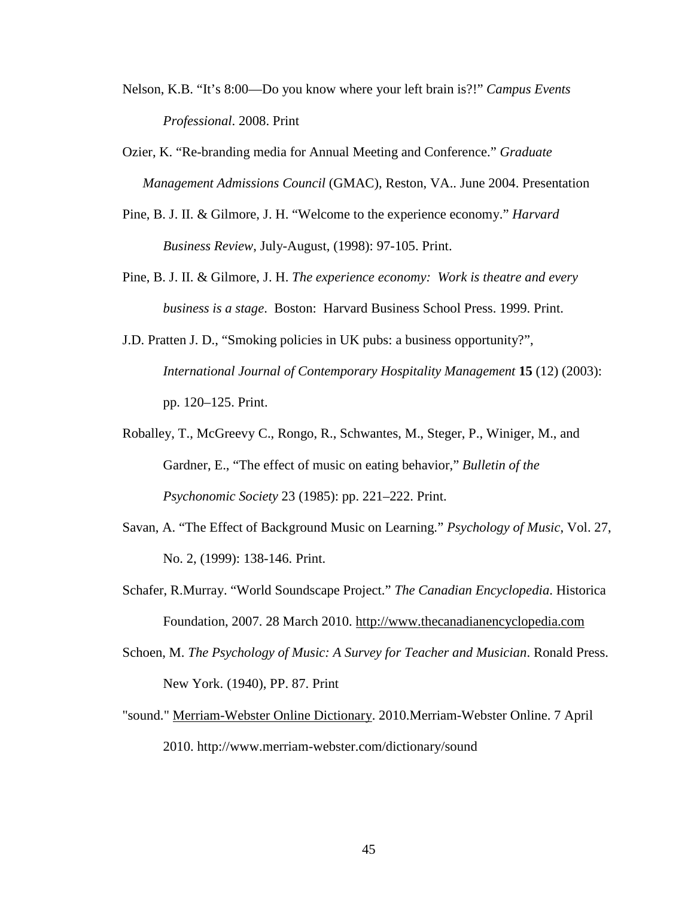- Nelson, K.B. "It's 8:00—Do you know where your left brain is?!" *Campus Events Professional*. 2008. Print
- Ozier, K. "Re-branding media for Annual Meeting and Conference." *Graduate Management Admissions Council* (GMAC), Reston, VA.. June 2004. Presentation
- Pine, B. J. II. & Gilmore, J. H. "Welcome to the experience economy." *Harvard Business Review*, July-August, (1998): 97-105. Print.
- Pine, B. J. II. & Gilmore, J. H. *The experience economy: Work is theatre and every business is a stage*. Boston: Harvard Business School Press. 1999. Print.
- J.D. Pratten J. D., "Smoking policies in UK pubs: a business opportunity?", *International Journal of Contemporary Hospitality Management* **15** (12) (2003): pp. 120–125. Print.
- Roballey, T., McGreevy C., Rongo, R., Schwantes, M., Steger, P., Winiger, M., and Gardner, E., "The effect of music on eating behavior," *Bulletin of the Psychonomic Society* 23 (1985): pp. 221–222. Print.
- Savan, A. "The Effect of Background Music on Learning." *Psychology of Music*, Vol. 27, No. 2, (1999): 138-146. Print.
- Schafer, R.Murray. "World Soundscape Project." *The Canadian Encyclopedia*. Historica Foundation, 2007. 28 March 2010. http://www.thecanadianencyclopedia.com
- Schoen, M. *The Psychology of Music: A Survey for Teacher and Musician*. Ronald Press. New York. (1940), PP. 87. Print
- "sound." Merriam-Webster Online Dictionary. 2010.Merriam-Webster Online. 7 April 2010. http://www.merriam-webster.com/dictionary/sound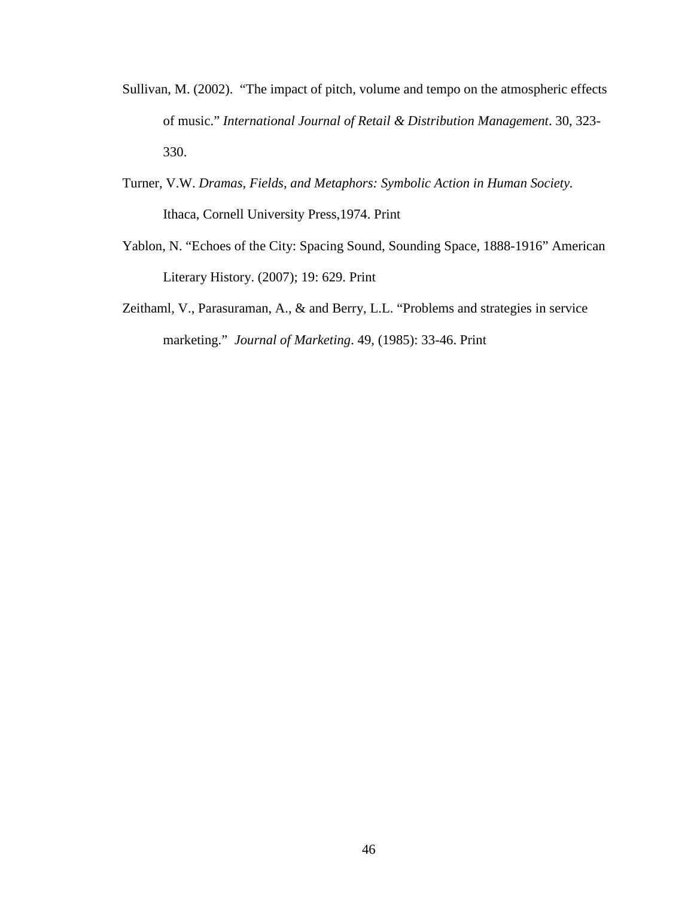- Sullivan, M. (2002). "The impact of pitch, volume and tempo on the atmospheric effects of music." *International Journal of Retail & Distribution Management*. 30, 323- 330.
- Turner, V.W. *Dramas, Fields, and Metaphors: Symbolic Action in Human Society.* Ithaca, Cornell University Press,1974. Print
- Yablon, N. "Echoes of the City: Spacing Sound, Sounding Space, 1888-1916" American Literary History. (2007); 19: 629. Print
- Zeithaml, V., Parasuraman, A., & and Berry, L.L. "Problems and strategies in service marketing." *Journal of Marketing*. 49, (1985): 33-46. Print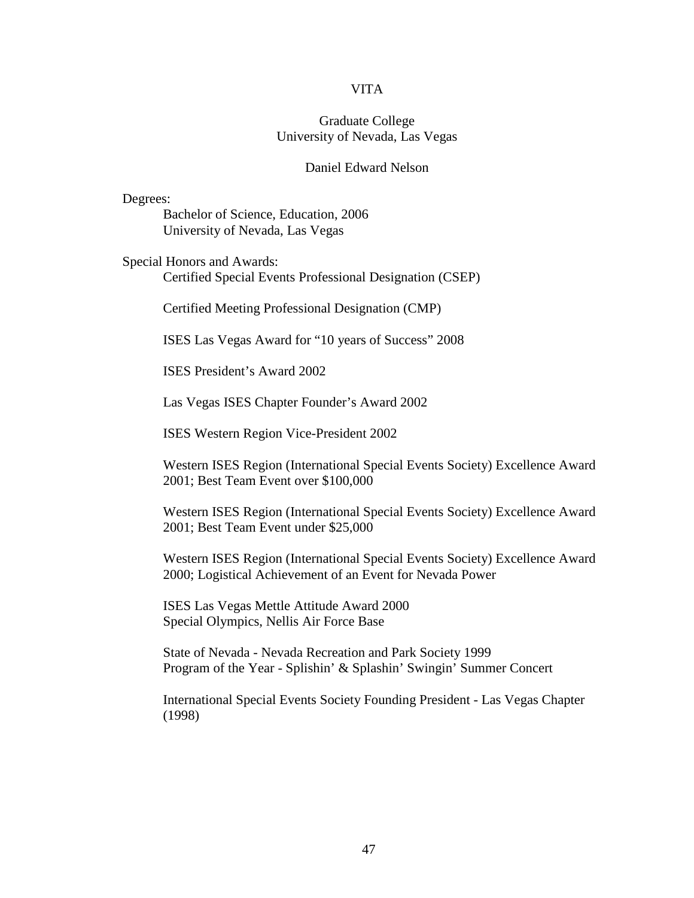#### VITA

#### Graduate College University of Nevada, Las Vegas

#### Daniel Edward Nelson

Degrees: Bachelor of Science, Education, 2006 University of Nevada, Las Vegas

Special Honors and Awards: Certified Special Events Professional Designation (CSEP)

Certified Meeting Professional Designation (CMP)

ISES Las Vegas Award for "10 years of Success" 2008

ISES President's Award 2002

Las Vegas ISES Chapter Founder's Award 2002

ISES Western Region Vice-President 2002

 Western ISES Region (International Special Events Society) Excellence Award 2001; Best Team Event over \$100,000

 Western ISES Region (International Special Events Society) Excellence Award 2001; Best Team Event under \$25,000

 Western ISES Region (International Special Events Society) Excellence Award 2000; Logistical Achievement of an Event for Nevada Power

 ISES Las Vegas Mettle Attitude Award 2000 Special Olympics, Nellis Air Force Base

 State of Nevada - Nevada Recreation and Park Society 1999 Program of the Year - Splishin' & Splashin' Swingin' Summer Concert

 International Special Events Society Founding President - Las Vegas Chapter (1998)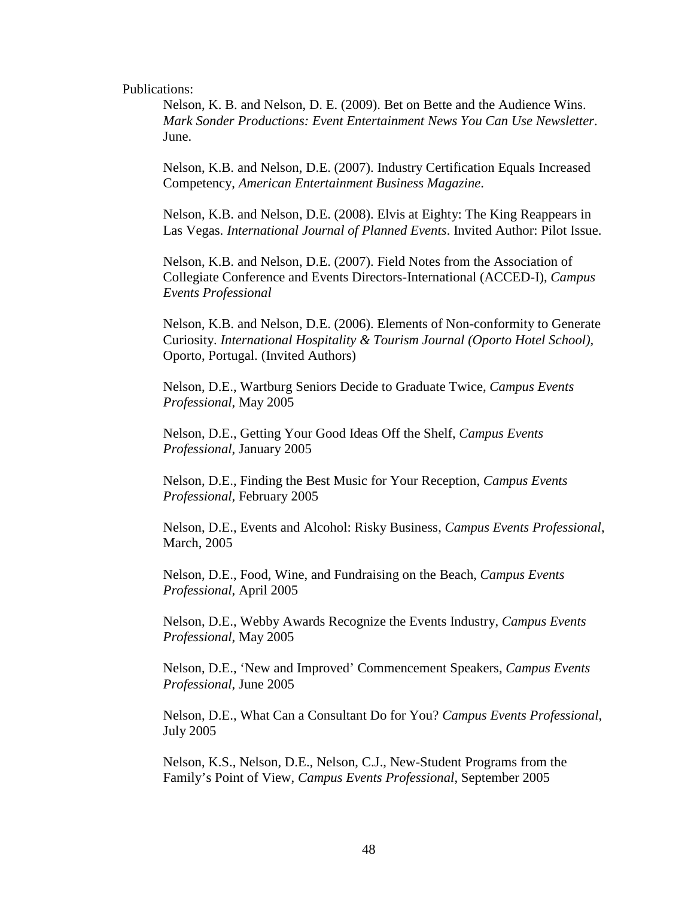Publications:

 Nelson, K. B. and Nelson, D. E. (2009). Bet on Bette and the Audience Wins. *Mark Sonder Productions: Event Entertainment News You Can Use Newsletter*. June.

 Nelson, K.B. and Nelson, D.E. (2007). Industry Certification Equals Increased Competency, *American Entertainment Business Magazine*.

 Nelson, K.B. and Nelson, D.E. (2008). Elvis at Eighty: The King Reappears in Las Vegas. *International Journal of Planned Events*. Invited Author: Pilot Issue.

 Nelson, K.B. and Nelson, D.E. (2007). Field Notes from the Association of Collegiate Conference and Events Directors-International (ACCED-I), *Campus Events Professional*

 Nelson, K.B. and Nelson, D.E. (2006). Elements of Non-conformity to Generate Curiosity. *International Hospitality & Tourism Journal (Oporto Hotel School),* Oporto, Portugal. (Invited Authors)

 Nelson, D.E., Wartburg Seniors Decide to Graduate Twice, *Campus Events Professional*, May 2005

 Nelson, D.E., Getting Your Good Ideas Off the Shelf, *Campus Events Professional*, January 2005

 Nelson, D.E., Finding the Best Music for Your Reception, *Campus Events Professional,* February 2005

 Nelson, D.E., Events and Alcohol: Risky Business, *Campus Events Professional*, March, 2005

 Nelson, D.E., Food, Wine, and Fundraising on the Beach, *Campus Events Professional*, April 2005

 Nelson, D.E., Webby Awards Recognize the Events Industry, *Campus Events Professional*, May 2005

 Nelson, D.E., 'New and Improved' Commencement Speakers, *Campus Events Professional*, June 2005

 Nelson, D.E., What Can a Consultant Do for You? *Campus Events Professional*, July 2005

 Nelson, K.S., Nelson, D.E., Nelson, C.J., New-Student Programs from the Family's Point of View, *Campus Events Professional*, September 2005